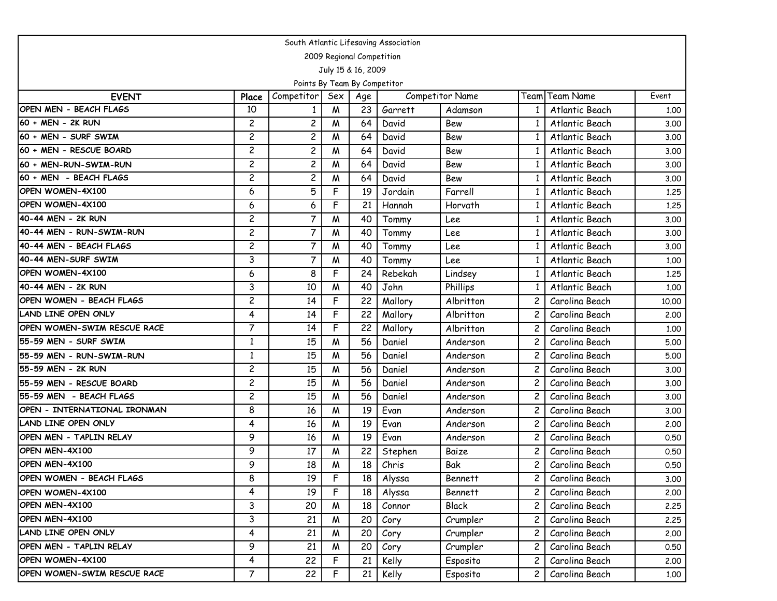| South Atlantic Lifesaving Association |                |                              |     |                           |         |                        |                |                |       |  |  |  |
|---------------------------------------|----------------|------------------------------|-----|---------------------------|---------|------------------------|----------------|----------------|-------|--|--|--|
|                                       |                |                              |     | 2009 Regional Competition |         |                        |                |                |       |  |  |  |
|                                       |                |                              |     | July 15 & 16, 2009        |         |                        |                |                |       |  |  |  |
|                                       |                | Points By Team By Competitor |     |                           |         |                        |                |                |       |  |  |  |
| <b>EVENT</b>                          | Place          | Competitor                   | Sex | Age                       |         | <b>Competitor Name</b> |                | Team Team Name | Event |  |  |  |
| OPEN MEN - BEACH FLAGS                | 10             |                              | M   | 23                        | Garrett | Adamson                |                | Atlantic Beach | 1.00  |  |  |  |
| 60 + MEN - 2K RUN                     | $\overline{c}$ | $\overline{\mathbf{c}}$      | M   | 64                        | David   | Bew                    |                | Atlantic Beach | 3.00  |  |  |  |
| 60 + MEN - SURF SWIM                  | $\overline{c}$ | $\overline{c}$               | M   | 64                        | David   | Bew                    |                | Atlantic Beach | 3.00  |  |  |  |
| 60 + MEN - RESCUE BOARD               | $\overline{c}$ | 2                            | M   | 64                        | David   | Bew                    |                | Atlantic Beach | 3.00  |  |  |  |
| 60 + MEN-RUN-SWIM-RUN                 | $\overline{c}$ | $\overline{c}$               | M   | 64                        | David   | Bew                    | 1              | Atlantic Beach | 3.00  |  |  |  |
| 60 + MEN - BEACH FLAGS                | $\overline{c}$ | $\overline{c}$               | M   | 64                        | David   | Bew                    | 1              | Atlantic Beach | 3.00  |  |  |  |
| OPEN WOMEN-4X100                      | 6              | 5                            | F   | 19                        | Jordain | Farrell                |                | Atlantic Beach | 1.25  |  |  |  |
| OPEN WOMEN-4X100                      | 6              | 6                            | F   | 21                        | Hannah  | Horvath                |                | Atlantic Beach | 1.25  |  |  |  |
| 40-44 MEN - 2K RUN                    | $\overline{c}$ | $\overline{7}$               | M   | 40                        | Tommy   | Lee                    | 1              | Atlantic Beach | 3.00  |  |  |  |
| 40-44 MEN - RUN-SWIM-RUN              | $\overline{c}$ | $\overline{7}$               | M   | 40                        | Tommy   | Lee                    |                | Atlantic Beach | 3.00  |  |  |  |
| 40-44 MEN - BEACH FLAGS               | $\overline{c}$ | $\overline{7}$               | M   | 40                        | Tommy   | Lee                    |                | Atlantic Beach | 3.00  |  |  |  |
| 40-44 MEN-SURF SWIM                   | 3              | $\overline{7}$               | M   | 40                        | Tommy   | Lee                    | -1             | Atlantic Beach | 1,00  |  |  |  |
| OPEN WOMEN-4X100                      | 6              | 8                            | F   | 24                        | Rebekah | Lindsey                |                | Atlantic Beach | 1.25  |  |  |  |
| 40-44 MEN - 2K RUN                    | 3              | 10                           | M   | 40                        | John    | Phillips               |                | Atlantic Beach | 1.00  |  |  |  |
| OPEN WOMEN - BEACH FLAGS              | $\overline{c}$ | 14                           | F   | 22                        | Mallory | Albritton              | 2              | Carolina Beach | 10.00 |  |  |  |
| <b>LAND LINE OPEN ONLY</b>            | 4              | 14                           | F   | 22                        | Mallory | Albritton              | 2              | Carolina Beach | 2.00  |  |  |  |
| OPEN WOMEN-SWIM RESCUE RACE           | $\overline{7}$ | 14                           | F   | 22                        | Mallory | Albritton              | 2              | Carolina Beach | 1,00  |  |  |  |
| 55-59 MEN - SURF SWIM                 | $\mathbf{1}$   | 15                           | W   | 56                        | Daniel  | Anderson               | 2              | Carolina Beach | 5.00  |  |  |  |
| 55-59 MEN - RUN-SWIM-RUN              | $\mathbf{1}$   | 15                           | W   | 56                        | Daniel  | Anderson               | $\overline{c}$ | Carolina Beach | 5.00  |  |  |  |
| 55-59 MEN - 2K RUN                    | $\overline{c}$ | 15                           | M   | 56                        | Daniel  | Anderson               | $\overline{c}$ | Carolina Beach | 3.00  |  |  |  |
| 55-59 MEN - RESCUE BOARD              | $\overline{c}$ | 15                           | W   | 56                        | Daniel  | Anderson               | 2              | Carolina Beach | 3.00  |  |  |  |
| 55-59 MEN - BEACH FLAGS               | $\overline{c}$ | 15                           | M   | 56                        | Daniel  | Anderson               | 2              | Carolina Beach | 3.00  |  |  |  |
| OPEN - INTERNATIONAL IRONMAN          | 8              | 16                           | M   | 19                        | Evan    | Anderson               | $\overline{c}$ | Carolina Beach | 3.00  |  |  |  |
| LAND LINE OPEN ONLY                   | 4              | 16                           | W   | 19                        | Evan    | Anderson               | $\overline{c}$ | Carolina Beach | 2.00  |  |  |  |
| OPEN MEN - TAPLIN RELAY               | 9              | 16                           | W   | 19                        | Evan    | Anderson               | 2              | Carolina Beach | 0.50  |  |  |  |
| OPEN MEN-4X100                        | 9              | 17                           | M   | 22                        | Stephen | Baize                  | 2              | Carolina Beach | 0.50  |  |  |  |
| <b>OPEN MEN-4X100</b>                 | 9              | 18                           | M   | 18                        | Chris   | Bak                    | 2              | Carolina Beach | 0.50  |  |  |  |
| OPEN WOMEN - BEACH FLAGS              | 8              | 19                           | F   | 18                        | Alyssa  | <b>Bennett</b>         | 2              | Carolina Beach | 3.00  |  |  |  |
| OPEN WOMEN-4X100                      | 4              | 19                           | F   | 18                        | Alyssa  | <b>Bennett</b>         |                | Carolina Beach | 2.00  |  |  |  |
| OPEN MEN-4X100                        | 3              | 20                           | M   | 18                        | Connor  | Black                  | 2              | Carolina Beach | 2.25  |  |  |  |
| OPEN MEN-4X100                        | $\overline{3}$ | 21                           | M   | 20                        | Cory    | Crumpler               | $\overline{c}$ | Carolina Beach | 2.25  |  |  |  |
| LAND LINE OPEN ONLY                   | 4              | 21                           | M   | 20                        | Cory    | Crumpler               | 2              | Carolina Beach | 2.00  |  |  |  |
| OPEN MEN - TAPLIN RELAY               | 9              | 21                           | M   | 20                        | Cory    | Crumpler               | 2              | Carolina Beach | 0.50  |  |  |  |
| OPEN WOMEN-4X100                      | 4              | 22                           | F   | 21                        | Kelly   | Esposito               | 2              | Carolina Beach | 2.00  |  |  |  |
| OPEN WOMEN-SWIM RESCUE RACE           | $\overline{7}$ | 22                           | F   | 21                        | Kelly   | Esposito               | 2              | Carolina Beach | 1.00  |  |  |  |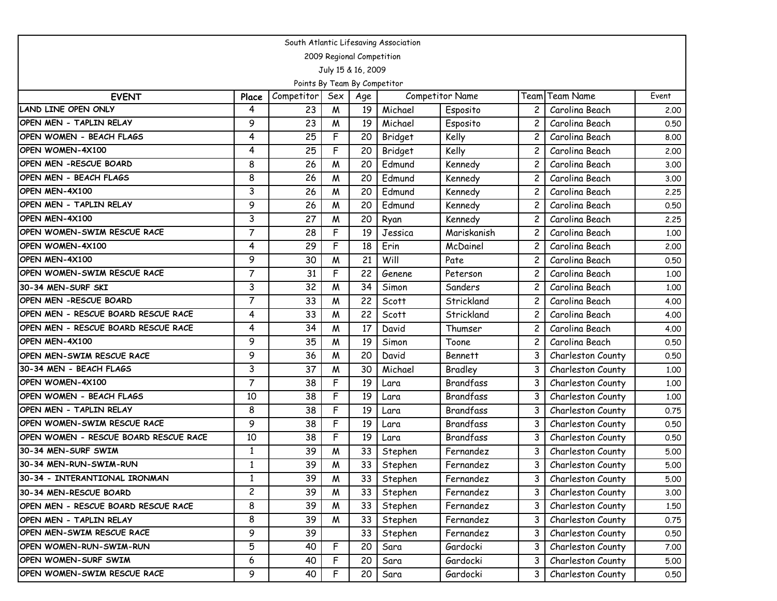| South Atlantic Lifesaving Association |                |                              |     |                           |         |                        |   |                   |       |  |  |  |
|---------------------------------------|----------------|------------------------------|-----|---------------------------|---------|------------------------|---|-------------------|-------|--|--|--|
|                                       |                |                              |     | 2009 Regional Competition |         |                        |   |                   |       |  |  |  |
|                                       |                |                              |     | July 15 & 16, 2009        |         |                        |   |                   |       |  |  |  |
|                                       |                | Points By Team By Competitor |     |                           |         |                        |   |                   |       |  |  |  |
| <b>EVENT</b>                          | Place          | Competitor                   | Sex | Age                       |         | <b>Competitor Name</b> |   | Team Team Name    | Event |  |  |  |
| <b>LAND LINE OPEN ONLY</b>            | 4              | 23                           | M   | 19                        | Michael | Esposito               |   | Carolina Beach    | 2,00  |  |  |  |
| OPEN MEN - TAPLIN RELAY               | 9              | 23                           | W   | 19                        | Michael | Esposito               | 2 | Carolina Beach    | 0.50  |  |  |  |
| OPEN WOMEN - BEACH FLAGS              | 4              | 25                           | F   | 20                        | Bridget | Kelly                  | 2 | Carolina Beach    | 8.00  |  |  |  |
| OPEN WOMEN-4X100                      | 4              | 25                           | F   | 20                        | Bridget | Kelly                  |   | Carolina Beach    | 2.00  |  |  |  |
| OPEN MEN - RESCUE BOARD               | 8              | 26                           | W   | 20                        | Edmund  | Kennedy                | 2 | Carolina Beach    | 3.00  |  |  |  |
| OPEN MEN - BEACH FLAGS                | 8              | 26                           | W   | 20                        | Edmund  | Kennedy                | 2 | Carolina Beach    | 3.00  |  |  |  |
| OPEN MEN-4X100                        | 3              | 26                           | W   | 20                        | Edmund  | Kennedy                |   | Carolina Beach    | 2.25  |  |  |  |
| OPEN MEN - TAPLIN RELAY               | 9              | 26                           | M   | 20                        | Edmund  | Kennedy                |   | Carolina Beach    | 0.50  |  |  |  |
| OPEN MEN-4X100                        | 3              | 27                           | W   | 20                        | Ryan    | Kennedy                | 2 | Carolina Beach    | 2.25  |  |  |  |
| OPEN WOMEN-SWIM RESCUE RACE           | $\overline{7}$ | 28                           | F   | 19                        | Jessica | Mariskanish            |   | Carolina Beach    | 1.00  |  |  |  |
| OPEN WOMEN-4X100                      | 4              | 29                           | F   | 18                        | Erin    | McDainel               | 2 | Carolina Beach    | 2.00  |  |  |  |
| OPEN MEN-4X100                        | 9              | 30                           | W   | 21                        | Will    | Pate                   | 2 | Carolina Beach    | 0.50  |  |  |  |
| OPEN WOMEN-SWIM RESCUE RACE           | $\overline{7}$ | 31                           | F   | 22                        | Genene  | Peterson               |   | Carolina Beach    | 1.00  |  |  |  |
| 30-34 MEN-SURF SKI                    | 3              | 32                           | M   | 34                        | Simon   | Sanders                |   | Carolina Beach    | 1,00  |  |  |  |
| OPEN MEN - RESCUE BOARD               | $\overline{7}$ | 33                           | W   | 22                        | Scott   | Strickland             | 2 | Carolina Beach    | 4.00  |  |  |  |
| OPEN MEN - RESCUE BOARD RESCUE RACE   | 4              | 33                           | W   | 22                        | Scott   | Strickland             | 2 | Carolina Beach    | 4.00  |  |  |  |
| OPEN MEN - RESCUE BOARD RESCUE RACE   | 4              | 34                           | W   | 17                        | David   | Thumser                |   | Carolina Beach    | 4.00  |  |  |  |
| OPEN MEN-4X100                        | 9              | 35                           | W   | 19                        | Simon   | Toone                  | 2 | Carolina Beach    | 0.50  |  |  |  |
| OPEN MEN-SWIM RESCUE RACE             | 9              | 36                           | W   | 20                        | David   | <b>Bennett</b>         | 3 | Charleston County | 0.50  |  |  |  |
| 30-34 MEN - BEACH FLAGS               | 3              | 37                           | W   | 30                        | Michael | Bradley                |   | Charleston County | 1.00  |  |  |  |
| OPEN WOMEN-4X100                      | 7              | 38                           | F   | 19                        | Lara    | Brandfass              |   | Charleston County | 1.00  |  |  |  |
| OPEN WOMEN - BEACH FLAGS              | 10             | 38                           | F   | 19                        | Lara    | Brandfass              | 3 | Charleston County | 1.00  |  |  |  |
| OPEN MEN - TAPLIN RELAY               | 8              | 38                           | F   | 19                        | Lara    | Brandfass              |   | Charleston County | 0.75  |  |  |  |
| OPEN WOMEN-SWIM RESCUE RACE           | 9              | 38                           | F   | 19                        | Lara    | Brandfass              | 3 | Charleston County | 0.50  |  |  |  |
| OPEN WOMEN - RESCUE BOARD RESCUE RACE | 10             | 38                           | F   | 19                        | Lara    | <b>Brandfass</b>       | 3 | Charleston County | 0.50  |  |  |  |
| 30-34 MEN-SURF SWIM                   | $\mathbf{1}$   | 39                           | W   | 33                        | Stephen | Fernandez              |   | Charleston County | 5.00  |  |  |  |
| 30-34 MEN-RUN-SWIM-RUN                | $\mathbf{1}$   | 39                           | W   | 33                        | Stephen | Fernandez              | 3 | Charleston County | 5.00  |  |  |  |
| 30-34 - INTERANTIONAL IRONMAN         | 1              | 39                           | W   | 33                        | Stephen | Fernandez              | 3 | Charleston County | 5.00  |  |  |  |
| 30-34 MEN-RESCUE BOARD                | $\overline{c}$ | 39                           | M   | 33                        | Stephen | Fernandez              | 3 | Charleston County | 3.00  |  |  |  |
| OPEN MEN - RESCUE BOARD RESCUE RACE   | 8              | 39                           | M   | 33                        | Stephen | Fernandez              | 3 | Charleston County | 1.50  |  |  |  |
| OPEN MEN - TAPLIN RELAY               | 8              | 39                           | M   | 33                        | Stephen | Fernandez              | 3 | Charleston County | 0.75  |  |  |  |
| OPEN MEN-SWIM RESCUE RACE             | 9              | 39                           |     | 33                        | Stephen | Fernandez              | 3 | Charleston County | 0.50  |  |  |  |
| OPEN WOMEN-RUN-SWIM-RUN               | 5              | 40                           | F   | 20                        | Sara    | Gardocki               | 3 | Charleston County | 7.00  |  |  |  |
| OPEN WOMEN-SURF SWIM                  | 6              | 40                           | F   | 20                        | Sara    | Gardocki               | 3 | Charleston County | 5.00  |  |  |  |
| OPEN WOMEN-SWIM RESCUE RACE           | 9              | 40                           | F   | 20                        | Sara    | Gardocki               | 3 | Charleston County | 0.50  |  |  |  |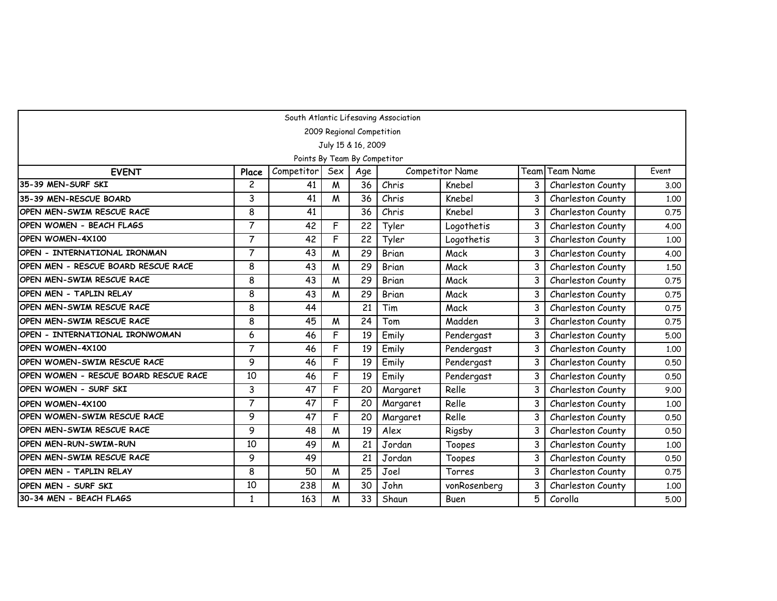| South Atlantic Lifesaving Association |                |                              |     |                           |              |                        |   |                   |       |  |  |  |
|---------------------------------------|----------------|------------------------------|-----|---------------------------|--------------|------------------------|---|-------------------|-------|--|--|--|
|                                       |                |                              |     | 2009 Regional Competition |              |                        |   |                   |       |  |  |  |
|                                       |                |                              |     | July 15 & 16, 2009        |              |                        |   |                   |       |  |  |  |
|                                       |                | Points By Team By Competitor |     |                           |              |                        |   |                   |       |  |  |  |
| <b>EVENT</b>                          | Place          | Competitor                   | Sex | Age                       |              | <b>Competitor Name</b> |   | Team Team Name    | Event |  |  |  |
| 35-39 MEN-SURF SKI                    | $\overline{c}$ | 41                           | W   | 36                        | Chris        | Knebel                 | 3 | Charleston County | 3.00  |  |  |  |
| 135-39 MEN-RESCUE BOARD               | 3              | 41                           | M   | 36                        | Chris        | Knebel                 |   | Charleston County | 1.00  |  |  |  |
| OPEN MEN-SWIM RESCUE RACE             | 8              | 41                           |     | 36                        | Chris        | Knebel                 | 3 | Charleston County | 0.75  |  |  |  |
| OPEN WOMEN - BEACH FLAGS              | $\overline{7}$ | 42                           | F   | 22                        | Tyler        | Logothetis             | 3 | Charleston County | 4.00  |  |  |  |
| OPEN WOMEN-4X100                      | $\overline{7}$ | 42                           | F   | 22                        | Tyler        | Logothetis             | 3 | Charleston County | 1.00  |  |  |  |
| OPEN - INTERNATIONAL IRONMAN          | 7              | 43                           | M   | 29                        | <b>Brian</b> | Mack                   | 3 | Charleston County | 4.00  |  |  |  |
| OPEN MEN - RESCUE BOARD RESCUE RACE   | 8              | 43                           | M   | 29                        | Brian        | Mack                   | 3 | Charleston County | 1.50  |  |  |  |
| OPEN MEN-SWIM RESCUE RACE             | 8              | 43                           | W   | 29                        | Brian        | Mack                   | 3 | Charleston County | 0.75  |  |  |  |
| OPEN MEN - TAPLIN RELAY               | 8              | 43                           | M   | 29                        | Brian        | Mack                   | 3 | Charleston County | 0.75  |  |  |  |
| IOPEN MEN-SWIM RESCUE RACE            | 8              | 44                           |     | 21                        | Tim          | Mack                   | 3 | Charleston County | 0.75  |  |  |  |
| OPEN MEN-SWIM RESCUE RACE             | 8              | 45                           | W   | 24                        | Tom          | Madden                 | 3 | Charleston County | 0.75  |  |  |  |
| OPEN - INTERNATIONAL IRONWOMAN        | 6              | 46                           | F   | 19                        | Emily        | Pendergast             | 3 | Charleston County | 5.00  |  |  |  |
| OPEN WOMEN-4X100                      | $\overline{7}$ | 46                           | F   | 19                        | Emily        | Pendergast             | 3 | Charleston County | 1.00  |  |  |  |
| OPEN WOMEN-SWIM RESCUE RACE           | 9              | 46                           | F   | 19                        | Emily        | Pendergast             | 3 | Charleston County | 0.50  |  |  |  |
| OPEN WOMEN - RESCUE BOARD RESCUE RACE | 10             | 46                           | F   | 19                        | Emily        | Pendergast             | 3 | Charleston County | 0.50  |  |  |  |
| OPEN WOMEN - SURF SKI                 | 3              | 47                           | F   | 20                        | Margaret     | Relle                  | 3 | Charleston County | 9.00  |  |  |  |
| OPEN WOMEN-4X100                      | $\overline{7}$ | 47                           | F   | 20                        | Margaret     | Relle                  | 3 | Charleston County | 1.00  |  |  |  |
| OPEN WOMEN-SWIM RESCUE RACE           | 9              | 47                           | F   | 20                        | Margaret     | Relle                  | 3 | Charleston County | 0.50  |  |  |  |
| IOPEN MEN-SWIM RESCUE RACE            | 9              | 48                           | W   | 19                        | Alex         | Rigsby                 | 3 | Charleston County | 0.50  |  |  |  |
| OPEN MEN-RUN-SWIM-RUN                 | 10             | 49                           | M   | 21                        | Jordan       | Toopes                 | 3 | Charleston County | 1.00  |  |  |  |
| OPEN MEN-SWIM RESCUE RACE             | 9              | 49                           |     | 21                        | Jordan       | Toopes                 | 3 | Charleston County | 0.50  |  |  |  |
| OPEN MEN - TAPLIN RELAY               | 8              | 50                           | M   | 25                        | Joel         | Torres                 | 3 | Charleston County | 0.75  |  |  |  |
| IOPEN MEN - SURF SKI                  | 10             | 238                          | M   | 30                        | John         | vonRosenberg           | 3 | Charleston County | 1.00  |  |  |  |
| 30-34 MEN - BEACH FLAGS               | 1              | 163                          | M   | 33                        | Shaun        | <b>Buen</b>            | 5 | Corolla           | 5.00  |  |  |  |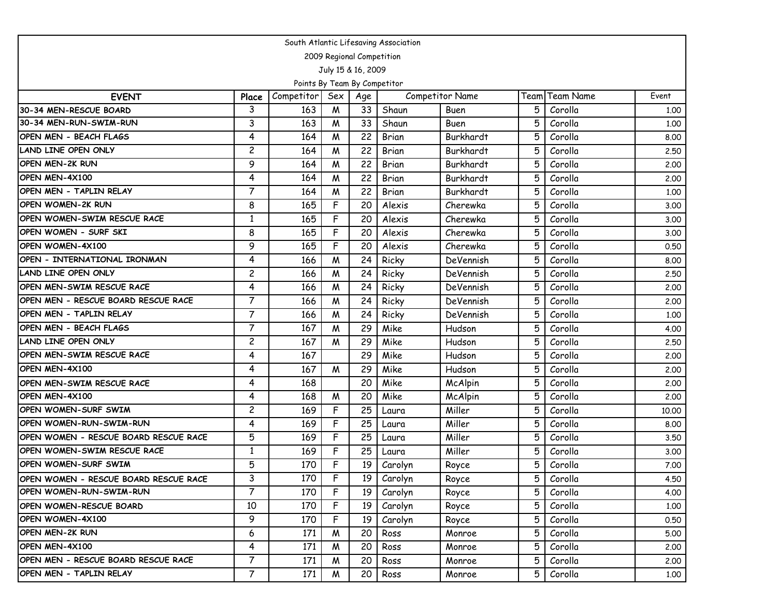| South Atlantic Lifesaving Association |                         |                              |                           |     |         |                        |      |                  |       |  |  |  |
|---------------------------------------|-------------------------|------------------------------|---------------------------|-----|---------|------------------------|------|------------------|-------|--|--|--|
|                                       |                         |                              | 2009 Regional Competition |     |         |                        |      |                  |       |  |  |  |
|                                       |                         |                              | July 15 & 16, 2009        |     |         |                        |      |                  |       |  |  |  |
|                                       |                         | Points By Team By Competitor |                           |     |         |                        |      |                  |       |  |  |  |
| <b>EVENT</b>                          | Place                   | Competitor                   | Sex                       | Age |         | <b>Competitor Name</b> | Team | <b>Team Name</b> | Event |  |  |  |
| 30-34 MEN-RESCUE BOARD                | 3                       | 163                          | M                         | 33  | Shaun   | Buen                   | 5    | Corolla          | 1.00  |  |  |  |
| 30-34 MEN-RUN-SWIM-RUN                | 3                       | 163                          | M                         | 33  | Shaun   | Buen                   | 5    | Corolla          | 1.00  |  |  |  |
| OPEN MEN - BEACH FLAGS                | 4                       | 164                          | M                         | 22  | Brian   | Burkhardt              | 5    | Corolla          | 8.00  |  |  |  |
| LAND LINE OPEN ONLY                   | $\overline{\mathbf{c}}$ | 164                          | M                         | 22  | Brian   | Burkhardt              | 5    | Corolla          | 2.50  |  |  |  |
| <b>OPEN MEN-2K RUN</b>                | 9                       | 164                          | M                         | 22  | Brian   | Burkhardt              | 5    | Corolla          | 2.00  |  |  |  |
| OPEN MEN-4X100                        | 4                       | 164                          | M                         | 22  | Brian   | Burkhardt              | 5    | Corolla          | 2.00  |  |  |  |
| OPEN MEN - TAPLIN RELAY               | $\overline{7}$          | 164                          | M                         | 22  | Brian   | Burkhardt              | 5    | Corolla          | 1.00  |  |  |  |
| OPEN WOMEN-2K RUN                     | 8                       | 165                          | F                         | 20  | Alexis  | Cherewka               | 5    | Corolla          | 3.00  |  |  |  |
| OPEN WOMEN-SWIM RESCUE RACE           | 1                       | 165                          | F                         | 20  | Alexis  | Cherewka               | 5    | Corolla          | 3.00  |  |  |  |
| OPEN WOMEN - SURF SKI                 | 8                       | 165                          | F                         | 20  | Alexis  | Cherewka               | 5    | Corolla          | 3.00  |  |  |  |
| OPEN WOMEN-4X100                      | 9                       | 165                          | F                         | 20  | Alexis  | Cherewka               | 5    | Corolla          | 0.50  |  |  |  |
| OPEN - INTERNATIONAL IRONMAN          | 4                       | 166                          | M                         | 24  | Ricky   | DeVennish              | 5    | Corolla          | 8.00  |  |  |  |
| LAND LINE OPEN ONLY                   | $\overline{c}$          | 166                          | M                         | 24  | Ricky   | DeVennish              | 5    | Corolla          | 2.50  |  |  |  |
| OPEN MEN-SWIM RESCUE RACE             | 4                       | 166                          | M                         | 24  | Ricky   | DeVennish              | 5    | Corolla          | 2,00  |  |  |  |
| OPEN MEN - RESCUE BOARD RESCUE RACE   | $\overline{7}$          | 166                          | M                         | 24  | Ricky   | DeVennish              | 5    | Corolla          | 2.00  |  |  |  |
| OPEN MEN - TAPLIN RELAY               | $\overline{7}$          | 166                          | M                         | 24  | Ricky   | DeVennish              | 5    | Corolla          | 1.00  |  |  |  |
| OPEN MEN - BEACH FLAGS                | $\overline{7}$          | 167                          | M                         | 29  | Mike    | Hudson                 | 5    | Corolla          | 4.00  |  |  |  |
| LAND LINE OPEN ONLY                   | $\overline{c}$          | 167                          | M                         | 29  | Mike    | Hudson                 | 5    | Corolla          | 2.50  |  |  |  |
| OPEN MEN-SWIM RESCUE RACE             | 4                       | 167                          |                           | 29  | Mike    | Hudson                 | 5    | Corolla          | 2.00  |  |  |  |
| OPEN MEN-4X100                        | 4                       | 167                          | M                         | 29  | Mike    | Hudson                 | 5    | Corolla          | 2.00  |  |  |  |
| OPEN MEN-SWIM RESCUE RACE             | 4                       | 168                          |                           | 20  | Mike    | McAlpin                | 5    | Corolla          | 2.00  |  |  |  |
| OPEN MEN-4X100                        | 4                       | 168                          | M                         | 20  | Mike    | McAlpin                | 5    | Corolla          | 2.00  |  |  |  |
| <b>OPEN WOMEN-SURF SWIM</b>           | $\overline{\mathbf{c}}$ | 169                          | F                         | 25  | Laura   | Miller                 | 5    | Corolla          | 10.00 |  |  |  |
| OPEN WOMEN-RUN-SWIM-RUN               | 4                       | 169                          | F                         | 25  | Laura   | Miller                 | 5    | Corolla          | 8.00  |  |  |  |
| OPEN WOMEN - RESCUE BOARD RESCUE RACE | 5                       | 169                          | F                         | 25  | Laura   | Miller                 | 5    | Corolla          | 3.50  |  |  |  |
| OPEN WOMEN-SWIM RESCUE RACE           | $\mathbf{1}$            | 169                          | F                         | 25  | Laura   | Miller                 | 5    | Corolla          | 3.00  |  |  |  |
| OPEN WOMEN-SURF SWIM                  | 5                       | 170                          | F                         | 19  | Carolyn | Royce                  | 5    | Corolla          | 7.00  |  |  |  |
| OPEN WOMEN - RESCUE BOARD RESCUE RACE | 3                       | 170                          | F                         | 19  | Carolyn | Royce                  | 5    | Corolla          | 4.50  |  |  |  |
| OPEN WOMEN-RUN-SWIM-RUN               | $\overline{7}$          | 170                          | F                         | 19  | Carolyn | Royce                  | 5    | Corolla          | 4.00  |  |  |  |
| OPEN WOMEN-RESCUE BOARD               | 10                      | 170                          | F                         | 19  | Carolyn | Royce                  | 5    | Corolla          | 1.00  |  |  |  |
| OPEN WOMEN-4X100                      | 9                       | 170                          | F                         | 19  | Carolyn | Royce                  | 5    | Corolla          | 0.50  |  |  |  |
| OPEN MEN-2K RUN                       | 6                       | 171                          | M                         | 20  | Ross    | Monroe                 | 5    | Corolla          | 5.00  |  |  |  |
| OPEN MEN-4X100                        | 4                       | 171                          | M                         | 20  | Ross    | Monroe                 | 5    | Corolla          | 2.00  |  |  |  |
| OPEN MEN - RESCUE BOARD RESCUE RACE   | $\overline{7}$          | 171                          | M                         | 20  | Ross    | Monroe                 | 5    | Corolla          | 2.00  |  |  |  |
| OPEN MEN - TAPLIN RELAY               | $\overline{7}$          | 171                          | M                         | 20  | Ross    | Monroe                 | 5    | Corolla          | 1.00  |  |  |  |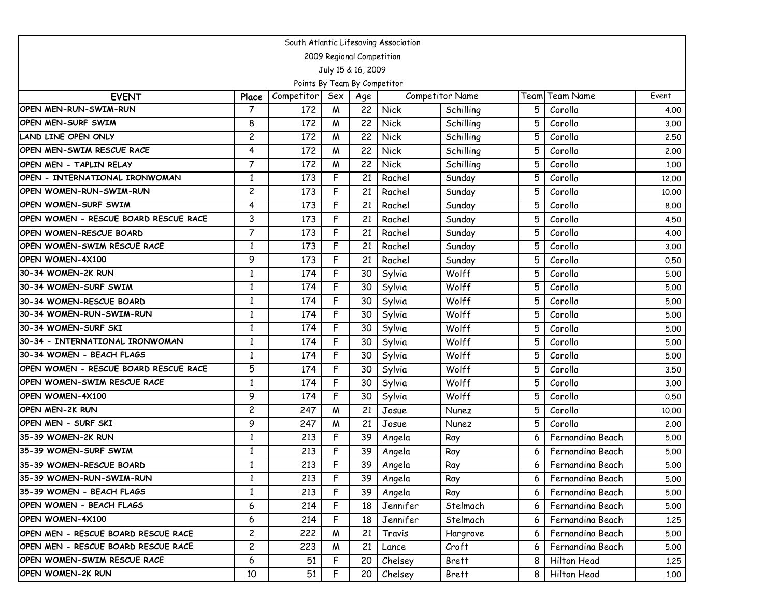| South Atlantic Lifesaving Association |                         |                              |     |                           |             |                        |      |                  |       |  |  |  |
|---------------------------------------|-------------------------|------------------------------|-----|---------------------------|-------------|------------------------|------|------------------|-------|--|--|--|
|                                       |                         |                              |     | 2009 Regional Competition |             |                        |      |                  |       |  |  |  |
|                                       |                         |                              |     | July 15 & 16, 2009        |             |                        |      |                  |       |  |  |  |
|                                       |                         | Points By Team By Competitor |     |                           |             |                        |      |                  |       |  |  |  |
| <b>EVENT</b>                          | Place                   | Competitor                   | Sex | Age                       |             | <b>Competitor Name</b> | Team | <b>Team Name</b> | Event |  |  |  |
| OPEN MEN-RUN-SWIM-RUN                 | $\overline{7}$          | 172                          | M   | 22                        | <b>Nick</b> | Schilling              | 5    | Corolla          | 4.00  |  |  |  |
| OPEN MEN-SURF SWIM                    | 8                       | 172                          | M   | 22                        | <b>Nick</b> | Schilling              | 5    | Corolla          | 3.00  |  |  |  |
| LAND LINE OPEN ONLY                   | $\overline{c}$          | 172                          | M   | 22                        | Nick        | Schilling              | 5    | Corolla          | 2.50  |  |  |  |
| OPEN MEN-SWIM RESCUE RACE             | 4                       | 172                          | M   | 22                        | Nick        | Schilling              |      | Corolla          | 2.00  |  |  |  |
| OPEN MEN - TAPLIN RELAY               | 7                       | 172                          | M   | 22                        | Nick        | Schilling              | 5    | Corolla          | 1.00  |  |  |  |
| OPEN - INTERNATIONAL IRONWOMAN        | $\mathbf{1}$            | 173                          | F   | 21                        | Rachel      | Sunday                 | 5    | Corolla          | 12.00 |  |  |  |
| OPEN WOMEN-RUN-SWIM-RUN               | $\overline{c}$          | 173                          | F   | 21                        | Rachel      | Sunday                 | 5    | Corolla          | 10.00 |  |  |  |
| OPEN WOMEN-SURF SWIM                  | 4                       | 173                          | F   | 21                        | Rachel      | Sunday                 | 5    | Corolla          | 8.00  |  |  |  |
| OPEN WOMEN - RESCUE BOARD RESCUE RACE | 3                       | 173                          | F   | 21                        | Rachel      | Sunday                 | 5    | Corolla          | 4.50  |  |  |  |
| OPEN WOMEN-RESCUE BOARD               | 7                       | 173                          | F   | 21                        | Rachel      | Sunday                 | 5    | Corolla          | 4.00  |  |  |  |
| OPEN WOMEN-SWIM RESCUE RACE           | 1                       | 173                          | F   | 21                        | Rachel      | Sunday                 |      | Corolla          | 3.00  |  |  |  |
| OPEN WOMEN-4X100                      | 9                       | 173                          | F   | 21                        | Rachel      | Sunday                 | 5    | Corolla          | 0.50  |  |  |  |
| 30-34 WOMEN-2K RUN                    | $\mathbf{1}$            | 174                          | F   | 30                        | Sylvia      | Wolff                  | 5    | Corolla          | 5.00  |  |  |  |
| 30-34 WOMEN-SURF SWIM                 | 1                       | 174                          | F   | 30                        | Sylvia      | Wolff                  |      | Corolla          | 5.00  |  |  |  |
| 30-34 WOMEN-RESCUE BOARD              | $\mathbf{1}$            | 174                          | F   | 30                        | Sylvia      | Wolff                  | 5    | Corolla          | 5.00  |  |  |  |
| 30-34 WOMEN-RUN-SWIM-RUN              | 1                       | 174                          | F   | 30                        | Sylvia      | Wolff                  | 5    | Corolla          | 5.00  |  |  |  |
| 30-34 WOMEN-SURF SKI                  | 1                       | 174                          | F   | 30                        | Sylvia      | Wolff                  |      | Corolla          | 5.00  |  |  |  |
| 30-34 - INTERNATIONAL IRONWOMAN       | $\mathbf{1}$            | 174                          | F   | 30                        | Sylvia      | Wolff                  | 5    | Corolla          | 5.00  |  |  |  |
| 30-34 WOMEN - BEACH FLAGS             | $\mathbf{1}$            | 174                          | F   | 30                        | Sylvia      | Wolff                  | 5    | Corolla          | 5.00  |  |  |  |
| OPEN WOMEN - RESCUE BOARD RESCUE RACE | 5                       | 174                          | F   | 30                        | Sylvia      | Wolff                  |      | Corolla          | 3.50  |  |  |  |
| OPEN WOMEN-SWIM RESCUE RACE           | $\mathbf{1}$            | 174                          | F   | 30                        | Sylvia      | Wolff                  | 5    | Corolla          | 3.00  |  |  |  |
| OPEN WOMEN-4X100                      | 9                       | 174                          | F   | 30                        | Sylvia      | Wolff                  | 5    | Corolla          | 0.50  |  |  |  |
| OPEN MEN-2K RUN                       | $\overline{\mathbf{c}}$ | 247                          | M   | 21                        | Josue       | Nunez                  | 5    | Corolla          | 10.00 |  |  |  |
| OPEN MEN - SURF SKI                   | 9                       | 247                          | M   | 21                        | Josue       | Nunez                  | 5    | Corolla          | 2.00  |  |  |  |
| 35-39 WOMEN-2K RUN                    | 1                       | 213                          | F   | 39                        | Angela      | Ray                    |      | Fernandina Beach | 5.00  |  |  |  |
| 35-39 WOMEN-SURF SWIM                 | 1                       | 213                          | F   | 39                        | Angela      | Ray                    |      | Fernandina Beach | 5.00  |  |  |  |
| 35-39 WOMEN-RESCUE BOARD              | $\mathbf{1}$            | 213                          | F   | 39                        | Angela      | Ray                    |      | Fernandina Beach | 5.00  |  |  |  |
| 35-39 WOMEN-RUN-SWIM-RUN              | 1                       | 213                          | F   | 39                        | Angela      | Ray                    |      | Fernandina Beach | 5.00  |  |  |  |
| 35-39 WOMEN - BEACH FLAGS             | $\mathbf{1}$            | 213                          | F   | 39                        | Angela      | Ray                    |      | Fernandina Beach | 5.00  |  |  |  |
| OPEN WOMEN - BEACH FLAGS              | 6                       | 214                          | F   | 18                        | Jennifer    | Stelmach               |      | Fernandina Beach | 5.00  |  |  |  |
| OPEN WOMEN-4X100                      | 6                       | 214                          | F   | 18                        | Jennifer    | Stelmach               | 6    | Fernandina Beach | 1.25  |  |  |  |
| OPEN MEN - RESCUE BOARD RESCUE RACE   | $\overline{c}$          | 222                          | M   | 21                        | Travis      | Hargrove               | 6    | Fernandina Beach | 5.00  |  |  |  |
| OPEN MEN - RESCUE BOARD RESCUE RACE   | 2                       | 223                          | M   | 21                        | Lance       | Croft                  | 6    | Fernandina Beach | 5.00  |  |  |  |
| OPEN WOMEN-SWIM RESCUE RACE           | 6                       | 51                           | F   | 20                        | Chelsey     | Brett                  | 8    | Hilton Head      | 1.25  |  |  |  |
| OPEN WOMEN-2K RUN                     | 10                      | 51                           | F   | 20                        | Chelsey     | <b>Brett</b>           | 8    | Hilton Head      | 1.00  |  |  |  |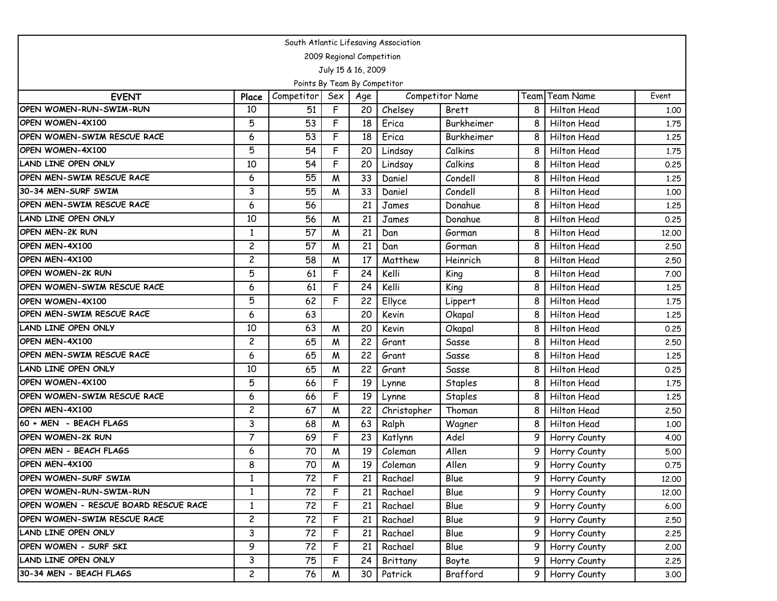| South Atlantic Lifesaving Association |                |                              |     |                    |             |                        |                |                    |       |  |  |  |
|---------------------------------------|----------------|------------------------------|-----|--------------------|-------------|------------------------|----------------|--------------------|-------|--|--|--|
| 2009 Regional Competition             |                |                              |     |                    |             |                        |                |                    |       |  |  |  |
|                                       |                |                              |     | July 15 & 16, 2009 |             |                        |                |                    |       |  |  |  |
|                                       |                | Points By Team By Competitor |     |                    |             |                        |                |                    |       |  |  |  |
| <b>EVENT</b>                          | Place          | Competitor                   | Sex | Age                |             | <b>Competitor Name</b> | Team           | <b>Team Name</b>   | Event |  |  |  |
| OPEN WOMEN-RUN-SWIM-RUN               | 10             | 51                           | F   | 20                 | Chelsey     | <b>Brett</b>           | 8              | Hilton Head        | 1.00  |  |  |  |
| OPEN WOMEN-4X100                      | 5              | 53                           | F   | 18                 | Erica       | Burkheimer             | 8              | Hilton Head        | 1.75  |  |  |  |
| OPEN WOMEN-SWIM RESCUE RACE           | 6              | 53                           | F   | 18                 | Erica       | Burkheimer             | 8              | Hilton Head        | 1.25  |  |  |  |
| OPEN WOMEN-4X100                      | 5              | 54                           | F   | 20                 | Lindsay     | Calkins                | 8              | <b>Hilton Head</b> | 1.75  |  |  |  |
| LAND LINE OPEN ONLY                   | 10             | 54                           | F   | 20                 | Lindsay     | Calkins                | 8              | Hilton Head        | 0.25  |  |  |  |
| OPEN MEN-SWIM RESCUE RACE             | 6              | 55                           | W   | 33                 | Daniel      | Condell                | 8              | Hilton Head        | 1.25  |  |  |  |
| 30-34 MEN-SURF SWIM                   | 3              | 55                           | M   | 33                 | Daniel      | Condell                | 8              | Hilton Head        | 1.00  |  |  |  |
| OPEN MEN-SWIM RESCUE RACE             | 6              | 56                           |     | 21                 | James       | Donahue                | 8              | Hilton Head        | 1,25  |  |  |  |
| LAND LINE OPEN ONLY                   | 10             | 56                           | M   | 21                 | James       | Donahue                | 8              | Hilton Head        | 0.25  |  |  |  |
| <b>OPEN MEN-2K RUN</b>                | 1              | 57                           | M   | 21                 | Dan         | Gorman                 | 8              | Hilton Head        | 12.00 |  |  |  |
| OPEN MEN-4X100                        | $\overline{c}$ | 57                           | M   | 21                 | Dan         | Gorman                 | 8              | <b>Hilton Head</b> | 2.50  |  |  |  |
| OPEN MEN-4X100                        | $\overline{c}$ | 58                           | M   | 17                 | Matthew     | Heinrich               | 8              | Hilton Head        | 2.50  |  |  |  |
| OPEN WOMEN-2K RUN                     | 5              | 61                           | F   | 24                 | Kelli       | King                   | 8              | Hilton Head        | 7.00  |  |  |  |
| OPEN WOMEN-SWIM RESCUE RACE           | 6              | 61                           | F   | 24                 | Kelli       | King                   | 8              | Hilton Head        | 1.25  |  |  |  |
| OPEN WOMEN-4X100                      | 5              | 62                           | F   | 22                 | Ellyce      | Lippert                | 8              | Hilton Head        | 1.75  |  |  |  |
| OPEN MEN-SWIM RESCUE RACE             | 6              | 63                           |     | 20                 | Kevin       | Okapal                 | 8              | Hilton Head        | 1.25  |  |  |  |
| <b>LAND LINE OPEN ONLY</b>            | 10             | 63                           | M   | 20                 | Kevin       | Okapal                 | 8              | Hilton Head        | 0.25  |  |  |  |
| OPEN MEN-4X100                        | $\overline{c}$ | 65                           | W   | 22                 | Grant       | Sasse                  | 8              | Hilton Head        | 2.50  |  |  |  |
| OPEN MEN-SWIM RESCUE RACE             | 6              | 65                           | M   | 22                 | Grant       | Sasse                  | 8              | Hilton Head        | 1.25  |  |  |  |
| LAND LINE OPEN ONLY                   | 10             | 65                           | M   | 22                 | Grant       | Sasse                  | 8              | Hilton Head        | 0.25  |  |  |  |
| OPEN WOMEN-4X100                      | 5              | 66                           | F   | 19                 | Lynne       | Staples                | 8              | Hilton Head        | 1.75  |  |  |  |
| OPEN WOMEN-SWIM RESCUE RACE           | 6              | 66                           | F   | 19                 | Lynne       | Staples                | 8              | Hilton Head        | 1.25  |  |  |  |
| OPEN MEN-4X100                        | $\overline{c}$ | 67                           | M   | 22                 | Christopher | Thoman                 | 8              | Hilton Head        | 2.50  |  |  |  |
| 60 + MEN - BEACH FLAGS                | 3              | 68                           | W   | 63                 | Ralph       | Wagner                 | 8              | Hilton Head        | 1.00  |  |  |  |
| OPEN WOMEN-2K RUN                     | $\overline{7}$ | 69                           | F   | 23                 | Katlynn     | Adel                   | 9              | Horry County       | 4.00  |  |  |  |
| OPEN MEN - BEACH FLAGS                | 6              | 70                           | M   | 19                 | Coleman     | Allen                  | 9              | Horry County       | 5.00  |  |  |  |
| OPEN MEN-4X100                        | 8              | 70                           | M   | 19                 | Coleman     | Allen                  | 9              | Horry County       | 0.75  |  |  |  |
| OPEN WOMEN-SURF SWIM                  | 1              | 72                           | F   | 21                 | Rachael     | Blue                   | 9 I            | Horry County       | 12.00 |  |  |  |
| OPEN WOMEN-RUN-SWIM-RUN               | $\mathbf{1}$   | 72                           | F   | 21                 | Rachael     | Blue                   | 9 <sup>1</sup> | Horry County       | 12.00 |  |  |  |
| OPEN WOMEN - RESCUE BOARD RESCUE RACE | $\mathbf{1}$   | 72                           | F   | 21                 | Rachael     | Blue                   | 9              | Horry County       | 6.00  |  |  |  |
| OPEN WOMEN-SWIM RESCUE RACE           | $\overline{c}$ | 72                           | F   | 21                 | Rachael     | Blue                   | 9 <sup>1</sup> | Horry County       | 2.50  |  |  |  |
| LAND LINE OPEN ONLY                   | 3              | 72                           | F   | 21                 | Rachael     | Blue                   | 9              | Horry County       | 2.25  |  |  |  |
| OPEN WOMEN - SURF SKI                 | 9              | 72                           | F   | 21                 | Rachael     | Blue                   | 9              | Horry County       | 2.00  |  |  |  |
| LAND LINE OPEN ONLY                   | 3              | 75                           | F   | 24                 | Brittany    | Boyte                  | 9 <sup>1</sup> | Horry County       | 2.25  |  |  |  |
| 30-34 MEN - BEACH FLAGS               | $\overline{c}$ | 76                           | M   | 30                 | Patrick     | Brafford               | 9 I            | Horry County       | 3.00  |  |  |  |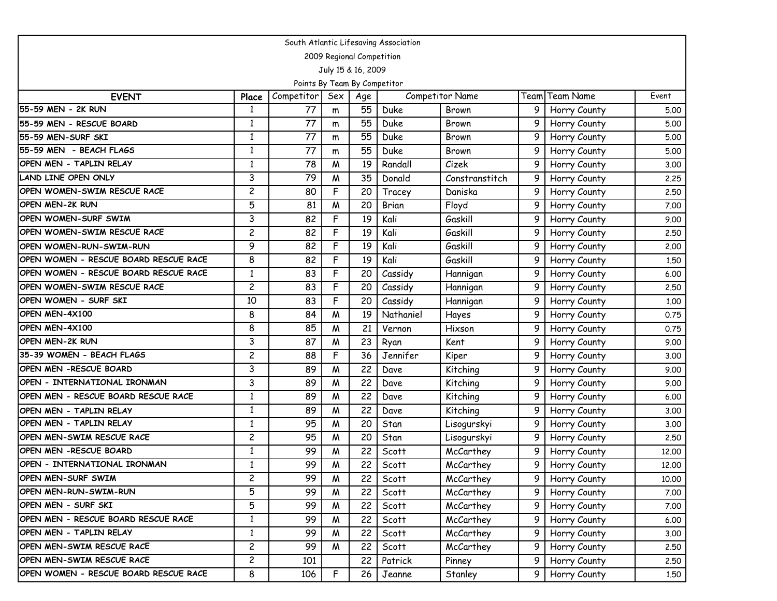| South Atlantic Lifesaving Association |                |                              |             |                           |           |                        |   |                |       |  |  |  |
|---------------------------------------|----------------|------------------------------|-------------|---------------------------|-----------|------------------------|---|----------------|-------|--|--|--|
|                                       |                |                              |             | 2009 Regional Competition |           |                        |   |                |       |  |  |  |
|                                       |                |                              |             | July 15 & 16, 2009        |           |                        |   |                |       |  |  |  |
|                                       |                | Points By Team By Competitor |             |                           |           |                        |   |                |       |  |  |  |
| <b>EVENT</b>                          | Place          | Competitor                   | Sex         | Age                       |           | <b>Competitor Name</b> |   | Team Team Name | Event |  |  |  |
| 55-59 MEN - 2K RUN                    | 1              | 77                           | m           | 55                        | Duke      | Brown                  | 9 | Horry County   | 5.00  |  |  |  |
| 55-59 MEN - RESCUE BOARD              | 1              | 77                           | m           | 55                        | Duke      | Brown                  | 9 | Horry County   | 5.00  |  |  |  |
| 55-59 MEN-SURF SKI                    | 1              | 77                           | m           | 55                        | Duke      | Brown                  | 9 | Horry County   | 5.00  |  |  |  |
| 55-59 MEN - BEACH FLAGS               | 1              | 77                           | m           | 55                        | Duke      | Brown                  | 9 | Horry County   | 5.00  |  |  |  |
| OPEN MEN - TAPLIN RELAY               | $\mathbf{1}$   | 78                           | M           | 19                        | Randall   | Cizek                  | 9 | Horry County   | 3.00  |  |  |  |
| <b>LAND LINE OPEN ONLY</b>            | 3              | 79                           | W           | 35                        | Donald    | Constranstitch         | 9 | Horry County   | 2.25  |  |  |  |
| <b>OPEN WOMEN-SWIM RESCUE RACE</b>    | 2              | 80                           | F           | 20                        | Tracey    | Daniska                | 9 | Horry County   | 2.50  |  |  |  |
| <b>OPEN MEN-2K RUN</b>                | 5              | 81                           | M           | 20                        | Brian     | Floyd                  | 9 | Horry County   | 7.00  |  |  |  |
| OPEN WOMEN-SURF SWIM                  | 3              | 82                           | F           | 19                        | Kali      | Gaskill                | 9 | Horry County   | 9.00  |  |  |  |
| OPEN WOMEN-SWIM RESCUE RACE           | $\overline{c}$ | 82                           | F           | 19                        | Kali      | Gaskill                | 9 | Horry County   | 2.50  |  |  |  |
| <b>OPEN WOMEN-RUN-SWIM-RUN</b>        | 9              | 82                           | F           | 19                        | Kali      | Gaskill                | 9 | Horry County   | 2.00  |  |  |  |
| OPEN WOMEN - RESCUE BOARD RESCUE RACE | 8              | 82                           | F           | 19                        | Kali      | Gaskill                | 9 | Horry County   | 1.50  |  |  |  |
| OPEN WOMEN - RESCUE BOARD RESCUE RACE | $\mathbf{1}$   | 83                           | F           | 20                        | Cassidy   | Hannigan               | 9 | Horry County   | 6.00  |  |  |  |
| OPEN WOMEN-SWIM RESCUE RACE           | $\overline{c}$ | 83                           | F           | 20                        | Cassidy   | Hannigan               | 9 | Horry County   | 2.50  |  |  |  |
| OPEN WOMEN - SURF SKI                 | 10             | 83                           | $\mathsf F$ | 20                        | Cassidy   | Hannigan               | 9 | Horry County   | 1.00  |  |  |  |
| <b>OPEN MEN-4X100</b>                 | 8              | 84                           | M           | 19                        | Nathaniel | Hayes                  | 9 | Horry County   | 0.75  |  |  |  |
| OPEN MEN-4X100                        | 8              | 85                           | M           | 21                        | Vernon    | Hixson                 | 9 | Horry County   | 0.75  |  |  |  |
| <b>OPEN MEN-2K RUN</b>                | 3              | 87                           | M           | 23                        | Ryan      | Kent                   | 9 | Horry County   | 9.00  |  |  |  |
| 35-39 WOMEN - BEACH FLAGS             | $\overline{c}$ | 88                           | F           | 36                        | Jennifer  | Kiper                  | 9 | Horry County   | 3.00  |  |  |  |
| OPEN MEN - RESCUE BOARD               | 3              | 89                           | W           | 22                        | Dave      | Kitching               | 9 | Horry County   | 9.00  |  |  |  |
| OPEN - INTERNATIONAL IRONMAN          | 3              | 89                           | M           | 22                        | Dave      | Kitching               | 9 | Horry County   | 9.00  |  |  |  |
| OPEN MEN - RESCUE BOARD RESCUE RACE   | 1              | 89                           | M           | 22                        | Dave      | Kitching               | 9 | Horry County   | 6.00  |  |  |  |
| OPEN MEN - TAPLIN RELAY               | 1              | 89                           | W           | 22                        | Dave      | Kitching               | 9 | Horry County   | 3.00  |  |  |  |
| OPEN MEN - TAPLIN RELAY               | $\mathbf{1}$   | 95                           | M           | 20                        | Stan      | Lisogurskyi            | 9 | Horry County   | 3.00  |  |  |  |
| <b>OPEN MEN-SWIM RESCUE RACE</b>      | $\overline{c}$ | 95                           | W           | 20                        | Stan      | Lisogurskyi            | 9 | Horry County   | 2.50  |  |  |  |
| OPEN MEN - RESCUE BOARD               | $\mathbf{1}$   | 99                           | W           | 22                        | Scott     | McCarthey              | 9 | Horry County   | 12.00 |  |  |  |
| OPEN - INTERNATIONAL IRONMAN          | $\mathbf{1}$   | 99                           | M           | 22                        | Scott     | McCarthey              | 9 | Horry County   | 12,00 |  |  |  |
| <b>OPEN MEN-SURF SWIM</b>             | 2              | 99                           | M           | 22                        | Scott     | McCarthey              | 9 | Horry County   | 10.00 |  |  |  |
| <b>OPEN MEN-RUN-SWIM-RUN</b>          | 5              | 99                           | M           | 22                        | Scott     | McCarthey              |   | Horry County   | 7.00  |  |  |  |
| OPEN MEN - SURF SKI                   | 5              | 99                           | M           | 22                        | Scott     | McCarthey              | 9 | Horry County   | 7.00  |  |  |  |
| OPEN MEN - RESCUE BOARD RESCUE RACE   | $\mathbf{1}$   | 99                           | M           | 22                        | Scott     | McCarthey              | 9 | Horry County   | 6.00  |  |  |  |
| OPEN MEN - TAPLIN RELAY               | $\mathbf{1}$   | 99                           | M           | 22                        | Scott     | McCarthey              | 9 | Horry County   | 3.00  |  |  |  |
| OPEN MEN-SWIM RESCUE RACE             | $\overline{c}$ | 99                           | M           | 22                        | Scott     | McCarthey              |   | Horry County   | 2.50  |  |  |  |
| OPEN MEN-SWIM RESCUE RACE             | $\overline{c}$ | 101                          |             | 22                        | Patrick   | Pinney                 | 9 | Horry County   | 2.50  |  |  |  |
| OPEN WOMEN - RESCUE BOARD RESCUE RACE | 8              | 106                          | F           | 26                        | Jeanne    | Stanley                | 9 | Horry County   | 1.50  |  |  |  |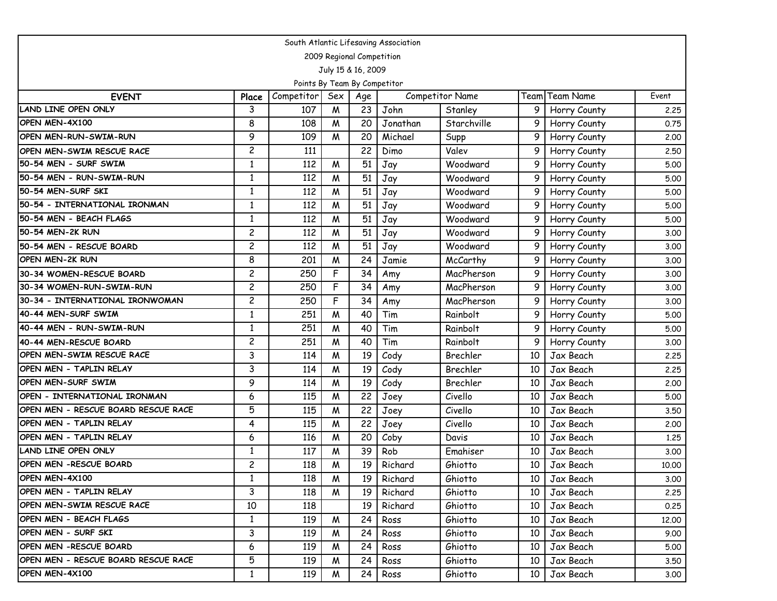| South Atlantic Lifesaving Association |                           |                              |     |     |          |                        |      |                |       |  |  |  |  |
|---------------------------------------|---------------------------|------------------------------|-----|-----|----------|------------------------|------|----------------|-------|--|--|--|--|
|                                       | 2009 Regional Competition |                              |     |     |          |                        |      |                |       |  |  |  |  |
| July 15 & 16, 2009                    |                           |                              |     |     |          |                        |      |                |       |  |  |  |  |
|                                       |                           | Points By Team By Competitor |     |     |          |                        |      |                |       |  |  |  |  |
| <b>EVENT</b>                          | Place                     | Competitor                   | Sex | Age |          | <b>Competitor Name</b> |      | Team Team Name | Event |  |  |  |  |
| <b>LAND LINE OPEN ONLY</b>            | 3                         | 107                          | M   | 23  | John     | Stanley                | 9    | Horry County   | 2.25  |  |  |  |  |
| OPEN MEN-4X100                        | 8                         | 108                          | M   | 20  | Jonathan | Starchville            | 9    | Horry County   | 0.75  |  |  |  |  |
| <b>OPEN MEN-RUN-SWIM-RUN</b>          | 9                         | 109                          | M   | 20  | Michael  | Supp                   | 9    | Horry County   | 2,00  |  |  |  |  |
| OPEN MEN-SWIM RESCUE RACE             | $\overline{c}$            | 111                          |     | 22  | Dimo     | Valev                  | 9    | Horry County   | 2.50  |  |  |  |  |
| 50-54 MEN - SURF SWIM                 | $\mathbf{1}$              | 112                          | M   | 51  | Jay      | Woodward               | 9    | Horry County   | 5.00  |  |  |  |  |
| 50-54 MEN - RUN-SWIM-RUN              | $\mathbf{1}$              | 112                          | M   | 51  | Jay      | Woodward               | 9    | Horry County   | 5.00  |  |  |  |  |
| 50-54 MEN-SURF SKI                    | 1                         | 112                          | M   | 51  | Jay      | Woodward               | 9    | Horry County   | 5.00  |  |  |  |  |
| 50-54 - INTERNATIONAL IRONMAN         | 1                         | 112                          | M   | 51  | Jay      | Woodward               | 9    | Horry County   | 5.00  |  |  |  |  |
| 50-54 MEN - BEACH FLAGS               | $\mathbf{1}$              | 112                          | M   | 51  | Jay      | Woodward               | 9    | Horry County   | 5.00  |  |  |  |  |
| 50-54 MEN-2K RUN                      | $\overline{c}$            | 112                          | M   | 51  | Jay      | Woodward               | 9    | Horry County   | 3.00  |  |  |  |  |
| 50-54 MEN - RESCUE BOARD              | $\overline{c}$            | 112                          | M   | 51  | Jay      | Woodward               | 9    | Horry County   | 3.00  |  |  |  |  |
| OPEN MEN-2K RUN                       | 8                         | 201                          | M   | 24  | Jamie    | McCarthy               | 9    | Horry County   | 3.00  |  |  |  |  |
| 30-34 WOMEN-RESCUE BOARD              | $\overline{c}$            | 250                          | F   | 34  | Amy      | MacPherson             | 9    | Horry County   | 3.00  |  |  |  |  |
| 30-34 WOMEN-RUN-SWIM-RUN              | $\overline{c}$            | 250                          | F   | 34  | Amy      | MacPherson             | 9    | Horry County   | 3.00  |  |  |  |  |
| 30-34 - INTERNATIONAL IRONWOMAN       | 2                         | 250                          | F   | 34  | Amy      | MacPherson             | 9    | Horry County   | 3.00  |  |  |  |  |
| 40-44 MEN-SURF SWIM                   | 1                         | 251                          | M   | 40  | Tim      | Rainbolt               | 9    | Horry County   | 5.00  |  |  |  |  |
| 40-44 MEN - RUN-SWIM-RUN              | $\mathbf{1}$              | 251                          | M   | 40  | Tim      | Rainbolt               | 9    | Horry County   | 5.00  |  |  |  |  |
| 40-44 MEN-RESCUE BOARD                | $\overline{c}$            | 251                          | M   | 40  | Tim      | Rainbolt               | 9    | Horry County   | 3.00  |  |  |  |  |
| OPEN MEN-SWIM RESCUE RACE             | 3                         | 114                          | M   | 19  | Cody     | Brechler               | 10   | Jax Beach      | 2.25  |  |  |  |  |
| OPEN MEN - TAPLIN RELAY               | 3                         | 114                          | M   | 19  | Cody     | Brechler               | 10   | Jax Beach      | 2.25  |  |  |  |  |
| <b>OPEN MEN-SURF SWIM</b>             | 9                         | 114                          | M   | 19  | Cody     | Brechler               | 10   | Jax Beach      | 2,00  |  |  |  |  |
| OPEN - INTERNATIONAL IRONMAN          | 6                         | 115                          | M   | 22  | Joey     | Civello                | 10   | Jax Beach      | 5.00  |  |  |  |  |
| OPEN MEN - RESCUE BOARD RESCUE RACE   | 5                         | 115                          | M   | 22  | Joey     | Civello                | 10   | Jax Beach      | 3.50  |  |  |  |  |
| OPEN MEN - TAPLIN RELAY               | 4                         | 115                          | M   | 22  | Joey     | Civello                | 10   | Jax Beach      | 2,00  |  |  |  |  |
| OPEN MEN - TAPLIN RELAY               | 6                         | 116                          | M   | 20  | Coby     | Davis                  | 10   | Jax Beach      | 1.25  |  |  |  |  |
| <b>LAND LINE OPEN ONLY</b>            | 1                         | 117                          | M   | 39  | Rob      | Emahiser               | 10   | Jax Beach      | 3.00  |  |  |  |  |
| OPEN MEN -RESCUE BOARD                | $\overline{c}$            | 118                          | M   | 19  | Richard  | Ghiotto                | 10   | Jax Beach      | 10.00 |  |  |  |  |
| OPEN MEN-4X100                        | 1                         | 118                          | M   | 19  | Richard  | Ghiotto                | 10 I | Jax Beach      | 3.00  |  |  |  |  |
| OPEN MEN - TAPLIN RELAY               | 3                         | 118                          | M   | 19  | Richard  | Ghiotto                | 10   | Jax Beach      | 2.25  |  |  |  |  |
| <b>OPEN MEN-SWIM RESCUE RACE</b>      | 10                        | 118                          |     | 19  | Richard  | Ghiotto                | 10   | Jax Beach      | 0.25  |  |  |  |  |
| OPEN MEN - BEACH FLAGS                | $\mathbf{1}$              | 119                          | M   | 24  | Ross     | Ghiotto                | 10   | Jax Beach      | 12.00 |  |  |  |  |
| OPEN MEN - SURF SKI                   | 3                         | 119                          | M   | 24  | Ross     | Ghiotto                | 10   | Jax Beach      | 9.00  |  |  |  |  |
| OPEN MEN -RESCUE BOARD                | 6                         | 119                          | M   | 24  | Ross     | Ghiotto                | 10   | Jax Beach      | 5.00  |  |  |  |  |
| OPEN MEN - RESCUE BOARD RESCUE RACE   | 5                         | 119                          | M   | 24  | Ross     | Ghiotto                | 10   | Jax Beach      | 3.50  |  |  |  |  |
| OPEN MEN-4X100                        | $\mathbf{1}$              | 119                          | M   | 24  | Ross     | Ghiotto                | 10   | Jax Beach      | 3.00  |  |  |  |  |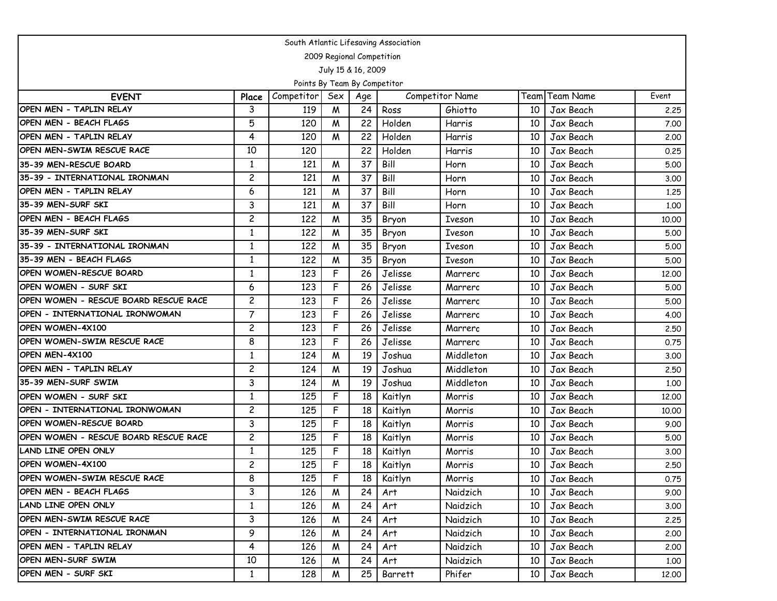| South Atlantic Lifesaving Association |                           |                              |     |                    |         |                 |    |                |       |  |  |  |  |
|---------------------------------------|---------------------------|------------------------------|-----|--------------------|---------|-----------------|----|----------------|-------|--|--|--|--|
|                                       | 2009 Regional Competition |                              |     |                    |         |                 |    |                |       |  |  |  |  |
|                                       |                           |                              |     | July 15 & 16, 2009 |         |                 |    |                |       |  |  |  |  |
|                                       |                           | Points By Team By Competitor |     |                    |         |                 |    |                |       |  |  |  |  |
| <b>EVENT</b>                          | Place                     | Competitor                   | Sex | Age                |         | Competitor Name |    | Team Team Name | Event |  |  |  |  |
| OPEN MEN - TAPLIN RELAY               | 3                         | 119                          | M   | 24                 | Ross    | Ghiotto         | 10 | Jax Beach      | 2,25  |  |  |  |  |
| OPEN MEN - BEACH FLAGS                | 5                         | 120                          | M   | 22                 | Holden  | Harris          | 10 | Jax Beach      | 7.00  |  |  |  |  |
| OPEN MEN - TAPLIN RELAY               | 4                         | 120                          | W   | 22                 | Holden  | Harris          | 10 | Jax Beach      | 2.00  |  |  |  |  |
| OPEN MEN-SWIM RESCUE RACE             | 10                        | 120                          |     | 22                 | Holden  | Harris          | 10 | Jax Beach      | 0.25  |  |  |  |  |
| 35-39 MEN-RESCUE BOARD                | $\mathbf{1}$              | 121                          | M   | 37                 | Bill    | Horn            | 10 | Jax Beach      | 5.00  |  |  |  |  |
| 35-39 - INTERNATIONAL IRONMAN         | $\overline{c}$            | 121                          | W   | 37                 | Bill    | Horn            | 10 | Jax Beach      | 3.00  |  |  |  |  |
| OPEN MEN - TAPLIN RELAY               | 6                         | 121                          | W   | 37                 | Bill    | Horn            | 10 | Jax Beach      | 1.25  |  |  |  |  |
| 35-39 MEN-SURF SKI                    | 3                         | 121                          | M   | 37                 | Bill    | Horn            | 10 | Jax Beach      | 1,00  |  |  |  |  |
| OPEN MEN - BEACH FLAGS                | $\overline{c}$            | 122                          | M   | 35                 | Bryon   | Iveson          | 10 | Jax Beach      | 10.00 |  |  |  |  |
| 35-39 MEN-SURF SKI                    | 1                         | 122                          | M   | 35                 | Bryon   | Iveson          | 10 | Jax Beach      | 5.00  |  |  |  |  |
| 35-39 - INTERNATIONAL IRONMAN         | 1                         | 122                          | M   | 35                 | Bryon   | Iveson          | 10 | Jax Beach      | 5.00  |  |  |  |  |
| 35-39 MEN - BEACH FLAGS               | $\mathbf{1}$              | 122                          | W   | 35                 | Bryon   | Iveson          | 10 | Jax Beach      | 5.00  |  |  |  |  |
| OPEN WOMEN-RESCUE BOARD               | $\mathbf{1}$              | 123                          | F   | 26                 | Jelisse | Marrero         | 10 | Jax Beach      | 12,00 |  |  |  |  |
| OPEN WOMEN - SURF SKI                 | 6                         | 123                          | F   | 26                 | Jelisse | Marrero         | 10 | Jax Beach      | 5.00  |  |  |  |  |
| OPEN WOMEN - RESCUE BOARD RESCUE RACE | $\overline{c}$            | 123                          | F   | 26                 | Jelisse | Marrero         | 10 | Jax Beach      | 5.00  |  |  |  |  |
| OPEN - INTERNATIONAL IRONWOMAN        | $\overline{7}$            | 123                          | F   | 26                 | Jelisse | Marrero         | 10 | Jax Beach      | 4.00  |  |  |  |  |
| <b>OPEN WOMEN-4X100</b>               | $\overline{c}$            | 123                          | F   | 26                 | Jelisse | Marrero         | 10 | Jax Beach      | 2.50  |  |  |  |  |
| OPEN WOMEN-SWIM RESCUE RACE           | 8                         | 123                          | F   | 26                 | Jelisse | Marrero         | 10 | Jax Beach      | 0.75  |  |  |  |  |
| OPEN MEN-4X100                        | $\mathbf{1}$              | 124                          | M   | 19                 | Joshua  | Middleton       | 10 | Jax Beach      | 3.00  |  |  |  |  |
| OPEN MEN - TAPLIN RELAY               | $\overline{c}$            | 124                          | M   | 19                 | Joshua  | Middleton       | 10 | Jax Beach      | 2.50  |  |  |  |  |
| 35-39 MEN-SURF SWIM                   | 3                         | 124                          | M   | 19                 | Joshua  | Middleton       | 10 | Jax Beach      | 1,00  |  |  |  |  |
| OPEN WOMEN - SURF SKI                 | $\mathbf{1}$              | 125                          | F   | 18                 | Kaitlyn | Morris          | 10 | Jax Beach      | 12.00 |  |  |  |  |
| OPEN - INTERNATIONAL IRONWOMAN        | $\overline{c}$            | 125                          | F   | 18                 | Kaitlyn | Morris          | 10 | Jax Beach      | 10.00 |  |  |  |  |
| OPEN WOMEN-RESCUE BOARD               | 3                         | 125                          | F   | 18                 | Kaitlyn | Morris          | 10 | Jax Beach      | 9.00  |  |  |  |  |
| OPEN WOMEN - RESCUE BOARD RESCUE RACE | $\overline{c}$            | 125                          | F   | 18                 | Kaitlyn | Morris          | 10 | Jax Beach      | 5.00  |  |  |  |  |
| <b>LAND LINE OPEN ONLY</b>            | $\mathbf{1}$              | 125                          | F   | 18                 | Kaitlyn | Morris          | 10 | Jax Beach      | 3.00  |  |  |  |  |
| OPEN WOMEN-4X100                      | $\overline{c}$            | 125                          | F   | 18                 | Kaitlyn | Morris          | 10 | Jax Beach      | 2.50  |  |  |  |  |
| <b>OPEN WOMEN-SWIM RESCUE RACE</b>    | 8                         | 125                          | F   | 18                 | Kaitlyn | Morris          | 10 | Jax Beach      | 0.75  |  |  |  |  |
| <b>OPEN MEN - BEACH FLAGS</b>         | 3                         | 126                          | W   | 24                 | Art     | Naidzich        | 10 | Jax Beach      | 9.00  |  |  |  |  |
| <b>LAND LINE OPEN ONLY</b>            | $\mathbf{1}$              | 126                          | M   | 24                 | Art     | Naidzich        | 10 | Jax Beach      | 3.00  |  |  |  |  |
| OPEN MEN-SWIM RESCUE RACE             | 3                         | 126                          | M   | 24                 | Art     | Naidzich        | 10 | Jax Beach      | 2.25  |  |  |  |  |
| OPEN - INTERNATIONAL IRONMAN          | 9                         | 126                          | M   | 24                 | Art     | Naidzich        | 10 | Jax Beach      | 2.00  |  |  |  |  |
| OPEN MEN - TAPLIN RELAY               | 4                         | 126                          | M   | 24                 | Art     | Naidzich        | 10 | Jax Beach      | 2.00  |  |  |  |  |
| <b>OPEN MEN-SURF SWIM</b>             | 10                        | 126                          | M   | 24                 | Art     | Naidzich        | 10 | Jax Beach      | 1.00  |  |  |  |  |
| OPEN MEN - SURF SKI                   | $\mathbf{1}$              | 128                          | M   | 25                 | Barrett | Phifer          | 10 | Jax Beach      | 12.00 |  |  |  |  |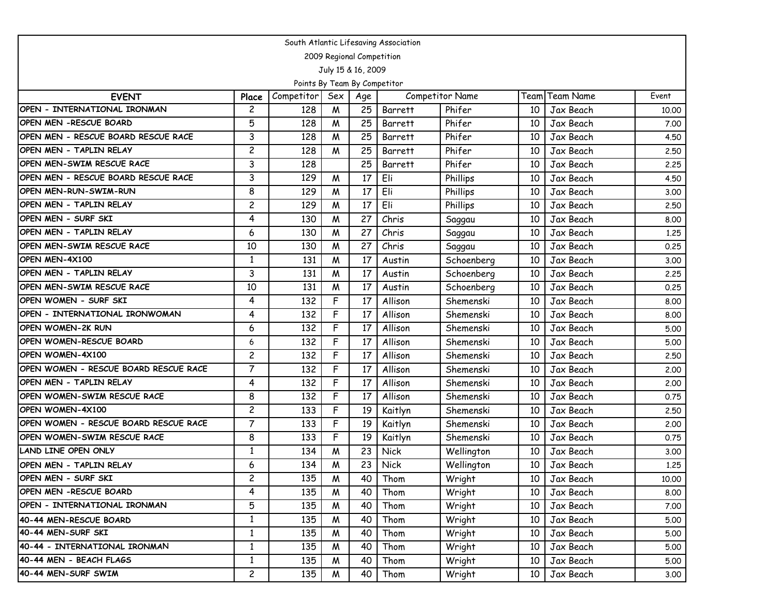| South Atlantic Lifesaving Association |                           |                              |                    |     |                |                        |    |                       |       |  |  |  |  |
|---------------------------------------|---------------------------|------------------------------|--------------------|-----|----------------|------------------------|----|-----------------------|-------|--|--|--|--|
|                                       | 2009 Regional Competition |                              |                    |     |                |                        |    |                       |       |  |  |  |  |
|                                       |                           |                              | July 15 & 16, 2009 |     |                |                        |    |                       |       |  |  |  |  |
|                                       |                           | Points By Team By Competitor |                    |     |                |                        |    |                       |       |  |  |  |  |
| <b>EVENT</b>                          | Place                     | Competitor                   | Sex                | Age |                | <b>Competitor Name</b> |    | <b>Team Team Name</b> | Event |  |  |  |  |
| OPEN - INTERNATIONAL IRONMAN          | $\overline{c}$            | 128                          | M                  | 25  | Barrett        | Phifer                 | 10 | Jax Beach             | 10.00 |  |  |  |  |
| OPEN MEN - RESCUE BOARD               | 5                         | 128                          | W                  | 25  | Barrett        | Phifer                 | 10 | Jax Beach             | 7.00  |  |  |  |  |
| OPEN MEN - RESCUE BOARD RESCUE RACE   | 3                         | 128                          | M                  | 25  | Barrett        | Phifer                 | 10 | Jax Beach             | 4.50  |  |  |  |  |
| OPEN MEN - TAPLIN RELAY               | $\overline{c}$            | 128                          | M                  | 25  | <b>Barrett</b> | Phifer                 | 10 | Jax Beach             | 2.50  |  |  |  |  |
| OPEN MEN-SWIM RESCUE RACE             | 3                         | 128                          |                    | 25  | <b>Barrett</b> | Phifer                 | 10 | Jax Beach             | 2.25  |  |  |  |  |
| OPEN MEN - RESCUE BOARD RESCUE RACE   | 3                         | 129                          | M                  | 17  | Eli            | Phillips               | 10 | Jax Beach             | 4.50  |  |  |  |  |
| OPEN MEN-RUN-SWIM-RUN                 | 8                         | 129                          | M                  | 17  | Eli            | Phillips               | 10 | Jax Beach             | 3.00  |  |  |  |  |
| OPEN MEN - TAPLIN RELAY               | $\overline{c}$            | 129                          | M                  | 17  | Eli            | Phillips               | 10 | Jax Beach             | 2.50  |  |  |  |  |
| OPEN MEN - SURF SKI                   | 4                         | 130                          | M                  | 27  | Chris          | Saggau                 | 10 | Jax Beach             | 8.00  |  |  |  |  |
| OPEN MEN - TAPLIN RELAY               | 6                         | 130                          | M                  | 27  | Chris          | Saggau                 | 10 | Jax Beach             | 1.25  |  |  |  |  |
| OPEN MEN-SWIM RESCUE RACE             | 10                        | 130                          | M                  | 27  | Chris          | Saggau                 | 10 | Jax Beach             | 0.25  |  |  |  |  |
| OPEN MEN-4X100                        | $\mathbf{1}$              | 131                          | M                  | 17  | Austin         | Schoenberg             | 10 | Jax Beach             | 3.00  |  |  |  |  |
| OPEN MEN - TAPLIN RELAY               | 3                         | 131                          | M                  | 17  | Austin         | Schoenberg             | 10 | Jax Beach             | 2.25  |  |  |  |  |
| OPEN MEN-SWIM RESCUE RACE             | 10                        | 131                          | M                  | 17  | Austin         | Schoenberg             | 10 | Jax Beach             | 0.25  |  |  |  |  |
| OPEN WOMEN - SURF SKI                 | 4                         | 132                          | F                  | 17  | Allison        | Shemenski              | 10 | Jax Beach             | 8.00  |  |  |  |  |
| OPEN - INTERNATIONAL IRONWOMAN        | 4                         | 132                          | F                  | 17  | Allison        | Shemenski              | 10 | Jax Beach             | 8.00  |  |  |  |  |
| <b>OPEN WOMEN-2K RUN</b>              | 6                         | 132                          | F                  | 17  | Allison        | Shemenski              | 10 | Jax Beach             | 5.00  |  |  |  |  |
| OPEN WOMEN-RESCUE BOARD               | 6                         | 132                          | F                  | 17  | Allison        | Shemenski              | 10 | Jax Beach             | 5.00  |  |  |  |  |
| OPEN WOMEN-4X100                      | $\overline{c}$            | 132                          | F                  | 17  | Allison        | Shemenski              | 10 | Jax Beach             | 2.50  |  |  |  |  |
| OPEN WOMEN - RESCUE BOARD RESCUE RACE | $\overline{7}$            | 132                          | F                  | 17  | Allison        | Shemenski              | 10 | Jax Beach             | 2.00  |  |  |  |  |
| OPEN MEN - TAPLIN RELAY               | 4                         | 132                          | F                  | 17  | Allison        | Shemenski              | 10 | Jax Beach             | 2,00  |  |  |  |  |
| OPEN WOMEN-SWIM RESCUE RACE           | 8                         | 132                          | F                  | 17  | Allison        | Shemenski              | 10 | Jax Beach             | 0.75  |  |  |  |  |
| OPEN WOMEN-4X100                      | $\overline{c}$            | 133                          | F                  | 19  | Kaitlyn        | Shemenski              | 10 | Jax Beach             | 2.50  |  |  |  |  |
| OPEN WOMEN - RESCUE BOARD RESCUE RACE | $\overline{7}$            | 133                          | F                  | 19  | Kaitlyn        | Shemenski              | 10 | Jax Beach             | 2.00  |  |  |  |  |
| OPEN WOMEN-SWIM RESCUE RACE           | 8                         | 133                          | F                  | 19  | Kaitlyn        | Shemenski              | 10 | Jax Beach             | 0.75  |  |  |  |  |
| <b>LAND LINE OPEN ONLY</b>            | $\mathbf{1}$              | 134                          | M                  | 23  | Nick           | Wellington             | 10 | Jax Beach             | 3.00  |  |  |  |  |
| OPEN MEN - TAPLIN RELAY               | 6                         | 134                          | W                  | 23  | Nick           | Wellington             | 10 | Jax Beach             | 1.25  |  |  |  |  |
| OPEN MEN - SURF SKI                   | 2                         | 135                          | W                  | 40  | Thom           | Wright                 | 10 | Jax Beach             | 10.00 |  |  |  |  |
| OPEN MEN - RESCUE BOARD               | 4                         | 135                          | M                  | 40  | Thom           | Wright                 | 10 | Jax Beach             | 8.00  |  |  |  |  |
| OPEN - INTERNATIONAL IRONMAN          | 5                         | 135                          | M                  | 40  | Thom           | Wright                 | 10 | Jax Beach             | 7.00  |  |  |  |  |
| 40-44 MEN-RESCUE BOARD                | $\mathbf{1}$              | 135                          | M                  | 40  | Thom           | Wright                 | 10 | Jax Beach             | 5.00  |  |  |  |  |
| 40-44 MEN-SURF SKI                    | 1                         | 135                          | M                  | 40  | Thom           | Wright                 | 10 | Jax Beach             | 5.00  |  |  |  |  |
| 40-44 - INTERNATIONAL IRONMAN         | $\mathbf{1}$              | 135                          | M                  | 40  | Thom           | Wright                 | 10 | Jax Beach             | 5.00  |  |  |  |  |
| 40-44 MEN - BEACH FLAGS               | $\mathbf{1}$              | 135                          | M                  | 40  | Thom           | Wright                 | 10 | Jax Beach             | 5.00  |  |  |  |  |
| 40-44 MEN-SURF SWIM                   | $\overline{c}$            | 135                          | M                  | 40  | Thom           | Wright                 | 10 | Jax Beach             | 3.00  |  |  |  |  |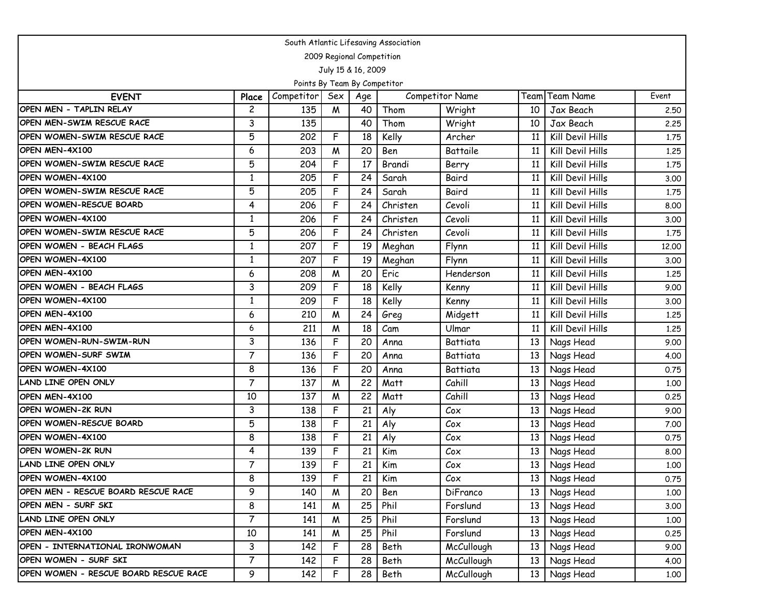| South Atlantic Lifesaving Association |                |                              |     |                           |          |                        |      |                  |       |  |  |  |
|---------------------------------------|----------------|------------------------------|-----|---------------------------|----------|------------------------|------|------------------|-------|--|--|--|
|                                       |                |                              |     | 2009 Regional Competition |          |                        |      |                  |       |  |  |  |
|                                       |                |                              |     | July 15 & 16, 2009        |          |                        |      |                  |       |  |  |  |
|                                       |                | Points By Team By Competitor |     |                           |          |                        |      |                  |       |  |  |  |
| <b>EVENT</b>                          | Place          | Competitor                   | Sex | Age                       |          | <b>Competitor Name</b> | Team | <b>Team Name</b> | Event |  |  |  |
| OPEN MEN - TAPLIN RELAY               | 2              | 135                          | M   | 40                        | Thom     | Wright                 | 10   | Jax Beach        | 2.50  |  |  |  |
| OPEN MEN-SWIM RESCUE RACE             | 3              | 135                          |     | 40                        | Thom     | Wright                 | 10   | Jax Beach        | 2.25  |  |  |  |
| OPEN WOMEN-SWIM RESCUE RACE           | 5              | 202                          | F   | 18                        | Kelly    | Archer                 | 11   | Kill Devil Hills | 1.75  |  |  |  |
| OPEN MEN-4X100                        | 6              | 203                          | M   | 20                        | Ben      | Battaile               | 11   | Kill Devil Hills | 1.25  |  |  |  |
| OPEN WOMEN-SWIM RESCUE RACE           | 5              | 204                          | F   | 17                        | Brandi   | Berry                  | 11   | Kill Devil Hills | 1.75  |  |  |  |
| OPEN WOMEN-4X100                      | 1              | 205                          | F   | 24                        | Sarah    | Baird                  | 11   | Kill Devil Hills | 3.00  |  |  |  |
| OPEN WOMEN-SWIM RESCUE RACE           | 5              | 205                          | F   | 24                        | Sarah    | Baird                  | 11   | Kill Devil Hills | 1.75  |  |  |  |
| OPEN WOMEN-RESCUE BOARD               | 4              | 206                          | F   | 24                        | Christen | Cevoli                 | 11   | Kill Devil Hills | 8.00  |  |  |  |
| OPEN WOMEN-4X100                      | 1              | 206                          | F   | 24                        | Christen | Cevoli                 | 11   | Kill Devil Hills | 3.00  |  |  |  |
| OPEN WOMEN-SWIM RESCUE RACE           | 5              | 206                          | F   | 24                        | Christen | Cevoli                 | 11   | Kill Devil Hills | 1.75  |  |  |  |
| OPEN WOMEN - BEACH FLAGS              | $\mathbf{1}$   | 207                          | F   | 19                        | Meghan   | Flynn                  | 11   | Kill Devil Hills | 12,00 |  |  |  |
| OPEN WOMEN-4X100                      | $\mathbf{1}$   | 207                          | F   | 19                        | Meghan   | Flynn                  | 11   | Kill Devil Hills | 3.00  |  |  |  |
| OPEN MEN-4X100                        | 6              | 208                          | M   | 20                        | Eric     | Henderson              | 11   | Kill Devil Hills | 1.25  |  |  |  |
| OPEN WOMEN - BEACH FLAGS              | 3              | 209                          | F   | 18                        | Kelly    | Kenny                  | 11   | Kill Devil Hills | 9.00  |  |  |  |
| OPEN WOMEN-4X100                      | $\mathbf{1}$   | 209                          | F   | 18                        | Kelly    | Kenny                  | 11   | Kill Devil Hills | 3.00  |  |  |  |
| OPEN MEN-4X100                        | 6              | 210                          | M   | 24                        | Greg     | Midgett                | 11   | Kill Devil Hills | 1.25  |  |  |  |
| OPEN MEN-4X100                        | 6              | 211                          | M   | 18                        | Cam      | Ulmar                  | 11   | Kill Devil Hills | 1.25  |  |  |  |
| OPEN WOMEN-RUN-SWIM-RUN               | $\mathbf{3}$   | 136                          | F   | 20                        | Anna     | Battiata               | 13   | Nags Head        | 9.00  |  |  |  |
| <b>OPEN WOMEN-SURF SWIM</b>           | $\overline{7}$ | 136                          | F   | 20                        | Anna     | Battiata               | 13   | Nags Head        | 4.00  |  |  |  |
| OPEN WOMEN-4X100                      | 8              | 136                          | F   | 20                        | Anna     | Battiata               | 13   | Nags Head        | 0.75  |  |  |  |
| LAND LINE OPEN ONLY                   | $\overline{7}$ | 137                          | M   | 22                        | Matt     | Cahill                 | 13   | Nags Head        | 1.00  |  |  |  |
| OPEN MEN-4X100                        | 10             | 137                          | M   | 22                        | Matt     | Cahill                 | 13   | Nags Head        | 0.25  |  |  |  |
| OPEN WOMEN-2K RUN                     | 3              | 138                          | F   | 21                        | Aly      | Cox                    | 13   | Nags Head        | 9.00  |  |  |  |
| OPEN WOMEN-RESCUE BOARD               | 5              | 138                          | F   | 21                        | Aly      | Cox                    | 13   | Nags Head        | 7.00  |  |  |  |
| OPEN WOMEN-4X100                      | 8              | 138                          | F   | 21                        | Aly      | Cox                    | 13   | Nags Head        | 0.75  |  |  |  |
| <b>OPEN WOMEN-2K RUN</b>              | 4              | 139                          | F   | 21                        | Kim      | Cox                    | 13   | Nags Head        | 8.00  |  |  |  |
| LAND LINE OPEN ONLY                   | $\overline{7}$ | 139                          | F   | 21                        | Kim      | Cox                    | 13   | Nags Head        | 1.00  |  |  |  |
| OPEN WOMEN-4X100                      | 8              | 139                          | F   | 21                        | Kim      | $\mathcal{C}$ ox       | 13   | Nags Head        | 0.75  |  |  |  |
| OPEN MEN - RESCUE BOARD RESCUE RACE   | 9              | 140                          | W   | 20                        | Ben      | DiFranco               | 13   | Nags Head        | 1.00  |  |  |  |
| OPEN MEN - SURF SKI                   | 8              | 141                          | W   | 25                        | Phil     | Forslund               | 13   | Nags Head        | 3.00  |  |  |  |
| LAND LINE OPEN ONLY                   | $\overline{7}$ | 141                          | M   | 25                        | Phil     | Forslund               | 13   | Nags Head        | 1.00  |  |  |  |
| OPEN MEN-4X100                        | 10             | 141                          | W   | 25                        | Phil     | Forslund               | 13   | Nags Head        | 0.25  |  |  |  |
| OPEN - INTERNATIONAL IRONWOMAN        | 3              | 142                          | F   | 28                        | Beth     | McCullough             | 13   | Nags Head        | 9.00  |  |  |  |
| OPEN WOMEN - SURF SKI                 | $\overline{7}$ | 142                          | F   | 28                        | Beth     | McCullough             | 13   | Nags Head        | 4.00  |  |  |  |
| OPEN WOMEN - RESCUE BOARD RESCUE RACE | 9              | 142                          | F   | 28                        | Beth     | McCullough             | 13   | Nags Head        | 1.00  |  |  |  |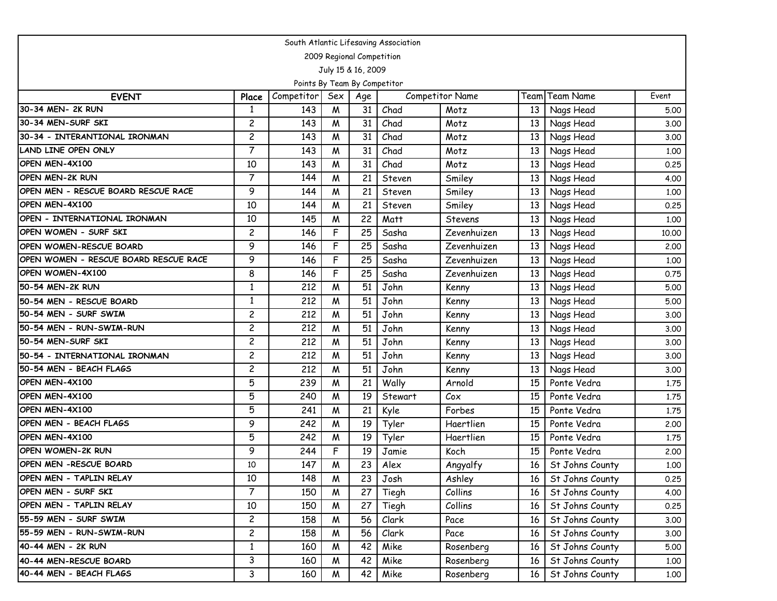| South Atlantic Lifesaving Association |                |                              |     |                           |         |                        |      |                  |       |  |  |  |
|---------------------------------------|----------------|------------------------------|-----|---------------------------|---------|------------------------|------|------------------|-------|--|--|--|
|                                       |                |                              |     | 2009 Regional Competition |         |                        |      |                  |       |  |  |  |
|                                       |                |                              |     | July 15 & 16, 2009        |         |                        |      |                  |       |  |  |  |
|                                       |                | Points By Team By Competitor |     |                           |         |                        |      |                  |       |  |  |  |
| <b>EVENT</b>                          | Place          | Competitor                   | Sex | Age                       |         | <b>Competitor Name</b> | Team | <b>Team Name</b> | Event |  |  |  |
| 30-34 MEN- 2K RUN                     | 1              | 143                          | M   | 31                        | Chad    | Motz                   | 13   | Nags Head        | 5.00  |  |  |  |
| 30-34 MEN-SURF SKI                    | $\overline{c}$ | 143                          | M   | 31                        | Chad    | Motz                   | 13   | Nags Head        | 3.00  |  |  |  |
| 30-34 - INTERANTIONAL IRONMAN         | $\overline{c}$ | 143                          | W   | 31                        | Chad    | Motz                   | 13   | Nags Head        | 3.00  |  |  |  |
| LAND LINE OPEN ONLY                   | $\overline{7}$ | 143                          | M   | 31                        | Chad    | Motz                   | 13   | Nags Head        | 1.00  |  |  |  |
| OPEN MEN-4X100                        | 10             | 143                          | M   | 31                        | Chad    | Motz                   | 13   | Nags Head        | 0.25  |  |  |  |
| <b>OPEN MEN-2K RUN</b>                | $\overline{7}$ | 144                          | W   | 21                        | Steven  | Smiley                 | 13   | Nags Head        | 4.00  |  |  |  |
| OPEN MEN - RESCUE BOARD RESCUE RACE   | 9              | 144                          | W   | 21                        | Steven  | Smiley                 | 13   | Nags Head        | 1.00  |  |  |  |
| OPEN MEN-4X100                        | 10             | 144                          | M   | 21                        | Steven  | Smiley                 | 13   | Nags Head        | 0.25  |  |  |  |
| OPEN - INTERNATIONAL IRONMAN          | 10             | 145                          | W   | 22                        | Matt    | Stevens                | 13   | Nags Head        | 1.00  |  |  |  |
| OPEN WOMEN - SURF SKI                 | $\overline{c}$ | 146                          | F   | 25                        | Sasha   | Zevenhuizen            | 13   | Nags Head        | 10.00 |  |  |  |
| OPEN WOMEN-RESCUE BOARD               | 9              | 146                          | F   | 25                        | Sasha   | Zevenhuizen            | 13   | Nags Head        | 2.00  |  |  |  |
| OPEN WOMEN - RESCUE BOARD RESCUE RACE | 9              | 146                          | F   | 25                        | Sasha   | Zevenhuizen            | 13   | Nags Head        | 1.00  |  |  |  |
| <b>OPEN WOMEN-4X100</b>               | 8              | 146                          | F   | 25                        | Sasha   | Zevenhuizen            | 13   | Nags Head        | 0.75  |  |  |  |
| 50-54 MEN-2K RUN                      | 1              | 212                          | M   | 51                        | John    | Kenny                  | 13   | Nags Head        | 5.00  |  |  |  |
| 50-54 MEN - RESCUE BOARD              | $\mathbf{1}$   | 212                          | W   | 51                        | John    | Kenny                  | 13   | Nags Head        | 5.00  |  |  |  |
| 50-54 MEN - SURF SWIM                 | $\overline{c}$ | 212                          | M   | 51                        | John    | Kenny                  | 13   | Nags Head        | 3.00  |  |  |  |
| 50-54 MEN - RUN-SWIM-RUN              | $\overline{c}$ | 212                          | W   | 51                        | John    | Kenny                  | 13   | Nags Head        | 3.00  |  |  |  |
| 50-54 MEN-SURF SKI                    | $\overline{c}$ | 212                          | W   | 51                        | John    | Kenny                  | 13   | Nags Head        | 3.00  |  |  |  |
| 50-54 - INTERNATIONAL IRONMAN         | $\overline{c}$ | 212                          | W   | 51                        | John    | Kenny                  | 13   | Nags Head        | 3.00  |  |  |  |
| 50-54 MEN - BEACH FLAGS               | $\overline{c}$ | 212                          | W   | 51                        | John    | Kenny                  | 13   | Nags Head        | 3.00  |  |  |  |
| OPEN MEN-4X100                        | 5              | 239                          | W   | 21                        | Wally   | Arnold                 | 15   | Ponte Vedra      | 1.75  |  |  |  |
| OPEN MEN-4X100                        | $\overline{5}$ | 240                          | M   | 19                        | Stewart | C <sub>ox</sub>        | 15   | Ponte Vedra      | 1.75  |  |  |  |
| OPEN MEN-4X100                        | 5              | 241                          | M   | 21                        | Kyle    | Forbes                 | 15   | Ponte Vedra      | 1.75  |  |  |  |
| OPEN MEN - BEACH FLAGS                | 9              | 242                          | W   | 19                        | Tyler   | Haertlien              | 15   | Ponte Vedra      | 2.00  |  |  |  |
| OPEN MEN-4X100                        | $\overline{5}$ | 242                          | W   | 19                        | Tyler   | Haertlien              | 15   | Ponte Vedra      | 1.75  |  |  |  |
| <b>OPEN WOMEN-2K RUN</b>              | 9              | 244                          | F   | 19                        | Jamie   | Koch                   | 15   | Ponte Vedra      | 2.00  |  |  |  |
| <b>OPEN MEN -RESCUE BOARD</b>         | 10             | 147                          | M   | 23                        | Alex    | Angyalfy               | 16   | St Johns County  | 1.00  |  |  |  |
| OPEN MEN - TAPLIN RELAY               | 10             | 148                          | M   | 23                        | Josh    | Ashley                 | 16   | St Johns County  | 0.25  |  |  |  |
| OPEN MEN - SURF SKI                   | $\overline{7}$ | 150                          | Μ   | 27                        | Tiegh   | Collins                | 16   | St Johns County  | 4.00  |  |  |  |
| OPEN MEN - TAPLIN RELAY               | 10             | 150                          | M   | 27                        | Tiegh   | Collins                | 16   | St Johns County  | 0.25  |  |  |  |
| 55-59 MEN - SURF SWIM                 | $\overline{c}$ | 158                          | W   | 56                        | Clark   | Pace                   | 16   | St Johns County  | 3.00  |  |  |  |
| 55-59 MEN - RUN-SWIM-RUN              | $\overline{c}$ | 158                          | M   | 56                        | Clark   | Pace                   | 16   | St Johns County  | 3.00  |  |  |  |
| 40-44 MEN - 2K RUN                    | $\mathbf{1}$   | 160                          | M   | 42                        | Mike    | Rosenberg              | 16   | St Johns County  | 5.00  |  |  |  |
| 40-44 MEN-RESCUE BOARD                | 3              | 160                          | M   | 42                        | Mike    | Rosenberg              | 16   | St Johns County  | 1.00  |  |  |  |
| 40-44 MEN - BEACH FLAGS               | 3              | 160                          | W   | 42                        | Mike    | Rosenberg              | 16   | St Johns County  | 1.00  |  |  |  |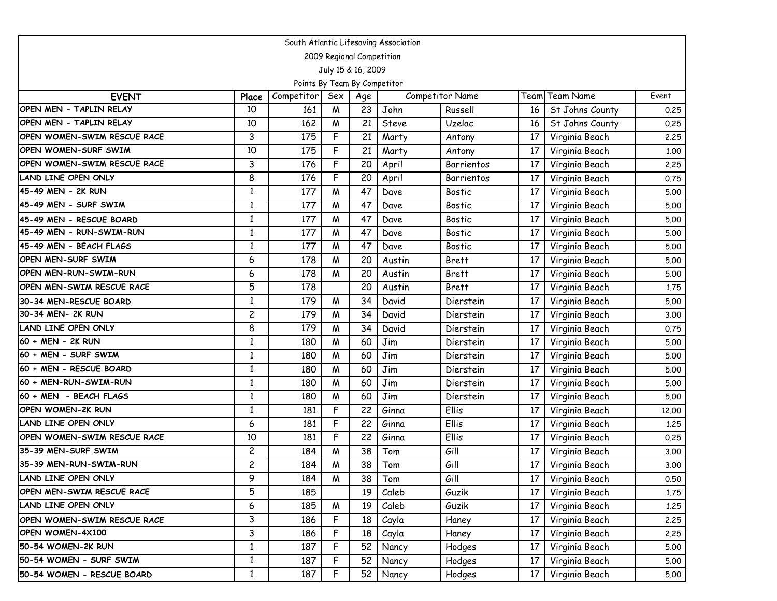| South Atlantic Lifesaving Association |                         |            |     |     |        |                        |      |                 |       |  |
|---------------------------------------|-------------------------|------------|-----|-----|--------|------------------------|------|-----------------|-------|--|
| 2009 Regional Competition             |                         |            |     |     |        |                        |      |                 |       |  |
| July 15 & 16, 2009                    |                         |            |     |     |        |                        |      |                 |       |  |
| Points By Team By Competitor          |                         |            |     |     |        |                        |      |                 |       |  |
| <b>EVENT</b>                          | Place                   | Competitor | Sex | Age |        | <b>Competitor Name</b> |      | Team Team Name  | Event |  |
| OPEN MEN - TAPLIN RELAY               | 10                      | 161        | M   | 23  | John   | Russell                | 16   | St Johns County | 0.25  |  |
| OPEN MEN - TAPLIN RELAY               | 10                      | 162        | W   | 21  | Steve  | Uzelac                 | 16   | St Johns County | 0.25  |  |
| OPEN WOMEN-SWIM RESCUE RACE           | 3                       | 175        | F   | 21  | Marty  | Antony                 | 17   | Virginia Beach  | 2.25  |  |
| <b>OPEN WOMEN-SURF SWIM</b>           | 10                      | 175        | F   | 21  | Marty  | Antony                 | 17   | Virginia Beach  | 1.00  |  |
| OPEN WOMEN-SWIM RESCUE RACE           | 3                       | 176        | F   | 20  | April  | Barrientos             | 17   | Virginia Beach  | 2.25  |  |
| <b>LAND LINE OPEN ONLY</b>            | 8                       | 176        | F   | 20  | April  | Barrientos             | 17   | Virginia Beach  | 0.75  |  |
| 45-49 MEN - 2K RUN                    | 1                       | 177        | M   | 47  | Dave   | <b>Bostic</b>          | 17   | Virginia Beach  | 5.00  |  |
| 45-49 MEN - SURF SWIM                 | 1                       | 177        | M   | 47  | Dave   | <b>Bostic</b>          | 17   | Virginia Beach  | 5.00  |  |
| 45-49 MEN - RESCUE BOARD              | $\mathbf{1}$            | 177        | M   | 47  | Dave   | <b>Bostic</b>          | 17   | Virginia Beach  | 5.00  |  |
| 45-49 MEN - RUN-SWIM-RUN              | 1                       | 177        | M   | 47  | Dave   | <b>Bostic</b>          | 17   | Virginia Beach  | 5.00  |  |
| 45-49 MEN - BEACH FLAGS               | 1                       | 177        | M   | 47  | Dave   | <b>Bostic</b>          | 17   | Virginia Beach  | 5.00  |  |
| OPEN MEN-SURF SWIM                    | 6                       | 178        | M   | 20  | Austin | <b>Brett</b>           | 17   | Virginia Beach  | 5.00  |  |
| OPEN MEN-RUN-SWIM-RUN                 | 6                       | 178        | M   | 20  | Austin | <b>Brett</b>           | 17   | Virginia Beach  | 5.00  |  |
| <b>OPEN MEN-SWIM RESCUE RACE</b>      | 5                       | 178        |     | 20  | Austin | <b>Brett</b>           | 17   | Virginia Beach  | 1.75  |  |
| 30-34 MEN-RESCUE BOARD                | $\mathbf{1}$            | 179        | M   | 34  | David  | Dierstein              | 17   | Virginia Beach  | 5.00  |  |
| 30-34 MEN- 2K RUN                     | $\overline{c}$          | 179        | M   | 34  | David  | Dierstein              | 17   | Virginia Beach  | 3.00  |  |
| <b>LAND LINE OPEN ONLY</b>            | 8                       | 179        | M   | 34  | David  | Dierstein              | 17   | Virginia Beach  | 0.75  |  |
| 60 + MEN - 2K RUN                     | $\mathbf{1}$            | 180        | M   | 60  | Jim    | Dierstein              | 17   | Virginia Beach  | 5.00  |  |
| 60 + MEN - SURF SWIM                  | $\mathbf{1}$            | 180        | M   | 60  | Jim    | Dierstein              | 17   | Virginia Beach  | 5.00  |  |
| 60 + MEN - RESCUE BOARD               | 1                       | 180        | M   | 60  | Jim    | Dierstein              | 17   | Virginia Beach  | 5.00  |  |
| 60 + MEN-RUN-SWIM-RUN                 | 1                       | 180        | W   | 60  | Jim    | Dierstein              | 17   | Virginia Beach  | 5.00  |  |
| 60 + MEN - BEACH FLAGS                | 1                       | 180        | M   | 60  | Jim    | Dierstein              | 17   | Virginia Beach  | 5.00  |  |
| OPEN WOMEN-2K RUN                     | $\mathbf{1}$            | 181        | F   | 22  | Ginna  | Ellis                  | 17   | Virginia Beach  | 12.00 |  |
| LAND LINE OPEN ONLY                   | 6                       | 181        | F   | 22  | Ginna  | Ellis                  | 17   | Virginia Beach  | 1.25  |  |
| OPEN WOMEN-SWIM RESCUE RACE           | 10                      | 181        | F   | 22  | Ginna  | Ellis                  | 17   | Virginia Beach  | 0.25  |  |
| 35-39 MEN-SURF SWIM                   | $\overline{\mathbf{c}}$ | 184        | M   | 38  | Tom    | Gill                   | 17   | Virginia Beach  | 3.00  |  |
| 35-39 MEN-RUN-SWIM-RUN                | 2                       | 184        | W   | 38  | Tom    | Gill                   | 17   | Virginia Beach  | 3.00  |  |
| LAND LINE OPEN ONLY                   | 9                       | 184        | W   | 38  | Tom    | Gill                   | 17 I | Virginia Beach  | 0.50  |  |
| OPEN MEN-SWIM RESCUE RACE             | 5                       | 185        |     | 19  | Caleb  | Guzik                  | 17   | Virginia Beach  | 1.75  |  |
| LAND LINE OPEN ONLY                   | 6                       | 185        | M   | 19  | Caleb  | Guzik                  | 17   | Virginia Beach  | 1.25  |  |
| OPEN WOMEN-SWIM RESCUE RACE           | 3                       | 186        | F   | 18  | Cayla  | Haney                  | 17   | Virginia Beach  | 2.25  |  |
| OPEN WOMEN-4X100                      | 3                       | 186        | F   | 18  | Cayla  | Haney                  | 17   | Virginia Beach  | 2.25  |  |
| 50-54 WOMEN-2K RUN                    | $\mathbf{1}$            | 187        | F   | 52  | Nancy  | Hodges                 | 17   | Virginia Beach  | 5.00  |  |
| 50-54 WOMEN - SURF SWIM               | $\mathbf{1}$            | 187        | F   | 52  | Nancy  | Hodges                 | 17   | Virginia Beach  | 5.00  |  |
| 50-54 WOMEN - RESCUE BOARD            | $\mathbf{1}$            | 187        | F   | 52  | Nancy  | Hodges                 | 17   | Virginia Beach  | 5.00  |  |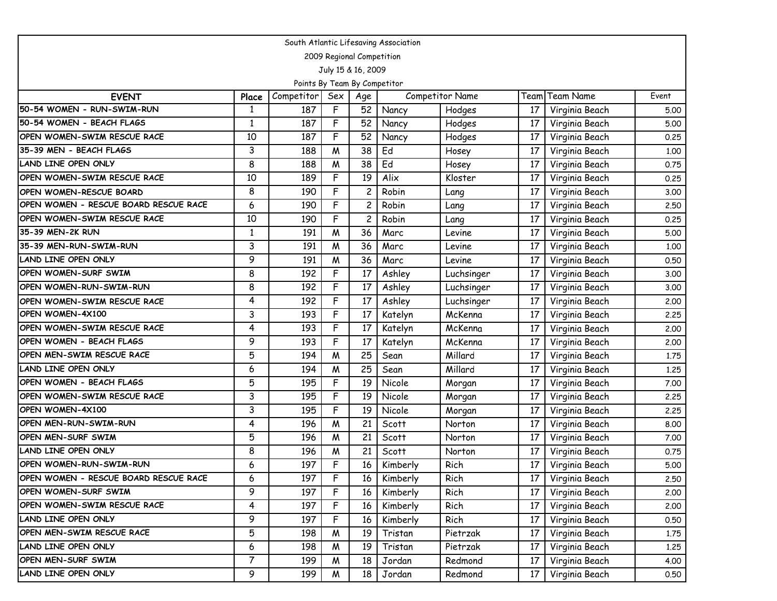| South Atlantic Lifesaving Association |                |            |     |                |          |                        |                 |                  |       |  |
|---------------------------------------|----------------|------------|-----|----------------|----------|------------------------|-----------------|------------------|-------|--|
| 2009 Regional Competition             |                |            |     |                |          |                        |                 |                  |       |  |
| July 15 & 16, 2009                    |                |            |     |                |          |                        |                 |                  |       |  |
| Points By Team By Competitor          |                |            |     |                |          |                        |                 |                  |       |  |
| <b>EVENT</b>                          | Place          | Competitor | Sex | Age            |          | <b>Competitor Name</b> | Team            | <b>Team Name</b> | Event |  |
| 50-54 WOMEN - RUN-SWIM-RUN            | $\mathbf{1}$   | 187        | F   | 52             | Nancy    | Hodges                 | 17              | Virginia Beach   | 5.00  |  |
| 50-54 WOMEN - BEACH FLAGS             | $\mathbf{1}$   | 187        | F   | 52             | Nancy    | Hodges                 | 17              | Virginia Beach   | 5.00  |  |
| OPEN WOMEN-SWIM RESCUE RACE           | 10             | 187        | F   | 52             | Nancy    | Hodges                 | 17              | Virginia Beach   | 0.25  |  |
| 35-39 MEN - BEACH FLAGS               | 3              | 188        | W   | 38             | Ed       | Hosey                  | 17              | Virginia Beach   | 1.00  |  |
| <b>LAND LINE OPEN ONLY</b>            | 8              | 188        | M   | 38             | Ed       | Hosey                  | 17              | Virginia Beach   | 0.75  |  |
| OPEN WOMEN-SWIM RESCUE RACE           | 10             | 189        | F   | 19             | Alix     | Kloster                | 17              | Virginia Beach   | 0.25  |  |
| OPEN WOMEN-RESCUE BOARD               | 8              | 190        | F   | $\overline{c}$ | Robin    | Lang                   | 17              | Virginia Beach   | 3.00  |  |
| OPEN WOMEN - RESCUE BOARD RESCUE RACE | 6              | 190        | F   | 2              | Robin    | Lang                   | 17              | Virginia Beach   | 2.50  |  |
| OPEN WOMEN-SWIM RESCUE RACE           | 10             | 190        | F   | 2              | Robin    | Lang                   | 17              | Virginia Beach   | 0.25  |  |
| 35-39 MEN-2K RUN                      | 1              | 191        | W   | 36             | Marc     | Levine                 | 17              | Virginia Beach   | 5.00  |  |
| 35-39 MEN-RUN-SWIM-RUN                | 3              | 191        | W   | 36             | Marc     | Levine                 | 17              | Virginia Beach   | 1.00  |  |
| <b>LAND LINE OPEN ONLY</b>            | 9              | 191        | W   | 36             | Marc     | Levine                 | 17              | Virginia Beach   | 0.50  |  |
| OPEN WOMEN-SURF SWIM                  | 8              | 192        | F   | 17             | Ashley   | Luchsinger             | 17              | Virginia Beach   | 3.00  |  |
| OPEN WOMEN-RUN-SWIM-RUN               | 8              | 192        | F   | 17             | Ashley   | Luchsinger             | 17              | Virginia Beach   | 3.00  |  |
| OPEN WOMEN-SWIM RESCUE RACE           | 4              | 192        | F   | 17             | Ashley   | Luchsinger             | 17              | Virginia Beach   | 2,00  |  |
| OPEN WOMEN-4X100                      | 3              | 193        | F   | 17             | Katelyn  | McKenna                | 17              | Virginia Beach   | 2.25  |  |
| OPEN WOMEN-SWIM RESCUE RACE           | 4              | 193        | F   | 17             | Katelyn  | McKenna                | 17              | Virginia Beach   | 2.00  |  |
| OPEN WOMEN - BEACH FLAGS              | 9              | 193        | F   | 17             | Katelyn  | McKenna                | 17              | Virginia Beach   | 2.00  |  |
| OPEN MEN-SWIM RESCUE RACE             | 5              | 194        | M   | 25             | Sean     | Millard                | 17              | Virginia Beach   | 1.75  |  |
| <b>LAND LINE OPEN ONLY</b>            | 6              | 194        | W   | 25             | Sean     | Millard                | 17              | Virginia Beach   | 1.25  |  |
| OPEN WOMEN - BEACH FLAGS              | 5              | 195        | F   | 19             | Nicole   | Morgan                 | 17              | Virginia Beach   | 7.00  |  |
| OPEN WOMEN-SWIM RESCUE RACE           | 3              | 195        | F   | 19             | Nicole   | Morgan                 | 17              | Virginia Beach   | 2.25  |  |
| OPEN WOMEN-4X100                      | 3              | 195        | F   | 19             | Nicole   | Morgan                 | 17              | Virginia Beach   | 2.25  |  |
| OPEN MEN-RUN-SWIM-RUN                 | 4              | 196        | W   | 21             | Scott    | Norton                 | 17              | Virginia Beach   | 8.00  |  |
| OPEN MEN-SURF SWIM                    | 5              | 196        | M   | 21             | Scott    | Norton                 | 17              | Virginia Beach   | 7.00  |  |
| LAND LINE OPEN ONLY                   | 8              | 196        | M   | 21             | Scott    | Norton                 | 17              | Virginia Beach   | 0.75  |  |
| OPEN WOMEN-RUN-SWIM-RUN               | 6              | 197        | F   | 16             | Kimberly | Rich                   | 17              | Virginia Beach   | 5.00  |  |
| OPEN WOMEN - RESCUE BOARD RESCUE RACE | 6              | 197        | F   | 16             | Kimberly | Rich                   | 17 <sup>1</sup> | Virginia Beach   | 2.50  |  |
| OPEN WOMEN-SURF SWIM                  | 9              | 197        | F   | 16             | Kimberly | Rich                   | 17              | Virginia Beach   | 2.00  |  |
| OPEN WOMEN-SWIM RESCUE RACE           | 4              | 197        | F   | 16             | Kimberly | Rich                   | 17              | Virginia Beach   | 2.00  |  |
| LAND LINE OPEN ONLY                   | 9              | 197        | F   | 16             | Kimberly | Rich                   | 17              | Virginia Beach   | 0.50  |  |
| OPEN MEN-SWIM RESCUE RACE             | 5              | 198        | M   | 19             | Tristan  | Pietrzak               | 17              | Virginia Beach   | 1.75  |  |
| LAND LINE OPEN ONLY                   | 6              | 198        | M   | 19             | Tristan  | Pietrzak               | 17              | Virginia Beach   | 1.25  |  |
| OPEN MEN-SURF SWIM                    | $\overline{7}$ | 199        | M   | 18             | Jordan   | Redmond                | 17              | Virginia Beach   | 4.00  |  |
| LAND LINE OPEN ONLY                   | 9              | 199        | M   | 18             | Jordan   | Redmond                | 17              | Virginia Beach   | 0.50  |  |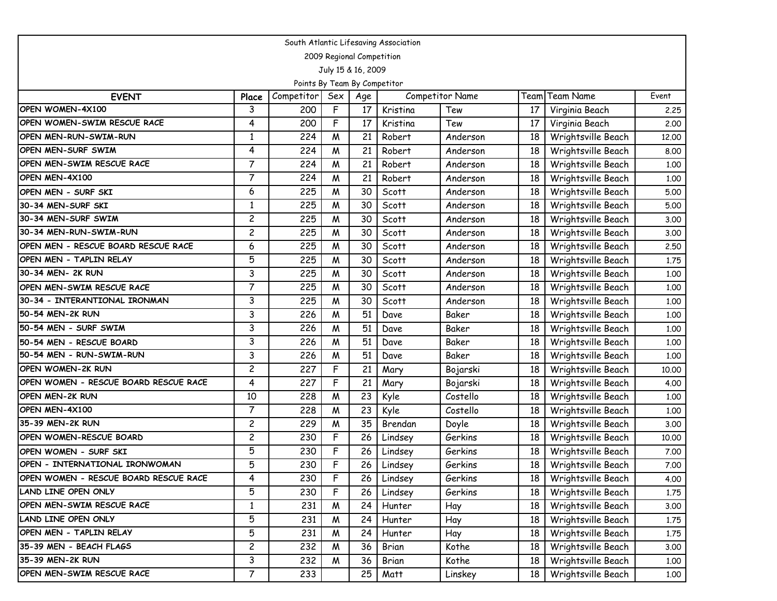| South Atlantic Lifesaving Association |                |            |     |                 |          |                        |    |                    |       |  |
|---------------------------------------|----------------|------------|-----|-----------------|----------|------------------------|----|--------------------|-------|--|
| 2009 Regional Competition             |                |            |     |                 |          |                        |    |                    |       |  |
| July 15 & 16, 2009                    |                |            |     |                 |          |                        |    |                    |       |  |
| Points By Team By Competitor          |                |            |     |                 |          |                        |    |                    |       |  |
| <b>EVENT</b>                          | Place          | Competitor | Sex | Age             |          | <b>Competitor Name</b> |    | Team Team Name     | Event |  |
| OPEN WOMEN-4X100                      | 3              | 200        | F   | 17              | Kristina | Tew                    | 17 | Virginia Beach     | 2.25  |  |
| OPEN WOMEN-SWIM RESCUE RACE           | 4              | 200        | F   | 17              | Kristina | Tew                    | 17 | Virginia Beach     | 2.00  |  |
| <b>OPEN MEN-RUN-SWIM-RUN</b>          | $\mathbf{1}$   | 224        | M   | 21              | Robert   | Anderson               | 18 | Wrightsville Beach | 12.00 |  |
| OPEN MEN-SURF SWIM                    | 4              | 224        | M   | 21              | Robert   | Anderson               | 18 | Wrightsville Beach | 8.00  |  |
| OPEN MEN-SWIM RESCUE RACE             | $\overline{7}$ | 224        | W   | 21              | Robert   | Anderson               | 18 | Wrightsville Beach | 1.00  |  |
| OPEN MEN-4X100                        | $\overline{7}$ | 224        | M   | 21              | Robert   | Anderson               | 18 | Wrightsville Beach | 1.00  |  |
| OPEN MEN - SURF SKI                   | 6              | 225        | M   | 30              | Scott    | Anderson               | 18 | Wrightsville Beach | 5.00  |  |
| 30-34 MEN-SURF SKI                    | 1              | 225        | M   | 30              | Scott    | Anderson               | 18 | Wrightsville Beach | 5.00  |  |
| 30-34 MEN-SURF SWIM                   | $\overline{c}$ | 225        | M   | 30              | Scott    | Anderson               | 18 | Wrightsville Beach | 3.00  |  |
| 30-34 MEN-RUN-SWIM-RUN                | $\overline{c}$ | 225        | M   | 30              | Scott    | Anderson               | 18 | Wrightsville Beach | 3.00  |  |
| OPEN MEN - RESCUE BOARD RESCUE RACE   | 6              | 225        | M   | 30              | Scott    | Anderson               | 18 | Wrightsville Beach | 2.50  |  |
| OPEN MEN - TAPLIN RELAY               | 5              | 225        | W   | 30              | Scott    | Anderson               | 18 | Wrightsville Beach | 1.75  |  |
| 30-34 MEN- 2K RUN                     | 3              | 225        | M   | 30              | Scott    | Anderson               | 18 | Wrightsville Beach | 1.00  |  |
| OPEN MEN-SWIM RESCUE RACE             | $\overline{7}$ | 225        | M   | 30              | Scott    | Anderson               | 18 | Wrightsville Beach | 1.00  |  |
| 30-34 - INTERANTIONAL IRONMAN         | 3              | 225        | M   | 30              | Scott    | Anderson               | 18 | Wrightsville Beach | 1.00  |  |
| 50-54 MEN-2K RUN                      | 3              | 226        | M   | 51              | Dave     | Baker                  | 18 | Wrightsville Beach | 1.00  |  |
| 50-54 MEN - SURF SWIM                 | 3              | 226        | M   | 51              | Dave     | Baker                  | 18 | Wrightsville Beach | 1.00  |  |
| 50-54 MEN - RESCUE BOARD              | 3              | 226        | W   | 51              | Dave     | Baker                  | 18 | Wrightsville Beach | 1.00  |  |
| 50-54 MEN - RUN-SWIM-RUN              | 3              | 226        | M   | 51              | Dave     | Baker                  | 18 | Wrightsville Beach | 1.00  |  |
| OPEN WOMEN-2K RUN                     | $\overline{c}$ | 227        | F   | 21              | Mary     | Bojarski               | 18 | Wrightsville Beach | 10.00 |  |
| OPEN WOMEN - RESCUE BOARD RESCUE RACE | 4              | 227        | F   | 21              | Mary     | Bojarski               | 18 | Wrightsville Beach | 4.00  |  |
| <b>OPEN MEN-2K RUN</b>                | 10             | 228        | M   | 23              | Kyle     | Costello               | 18 | Wrightsville Beach | 1.00  |  |
| OPEN MEN-4X100                        | 7              | 228        | M   | 23              | Kyle     | Costello               | 18 | Wrightsville Beach | 1.00  |  |
| 35-39 MEN-2K RUN                      | $\overline{c}$ | 229        | W   | 35              | Brendan  | Doyle                  | 18 | Wrightsville Beach | 3.00  |  |
| OPEN WOMEN-RESCUE BOARD               | $\overline{c}$ | 230        | F   | 26              | Lindsey  | Gerkins                | 18 | Wrightsville Beach | 10.00 |  |
| OPEN WOMEN - SURF SKI                 | 5              | 230        | F   | 26              | Lindsey  | Gerkins                | 18 | Wrightsville Beach | 7.00  |  |
| OPEN - INTERNATIONAL IRONWOMAN        | 5              | 230        | F   | 26              | Lindsey  | Gerkins                | 18 | Wrightsville Beach | 7.00  |  |
| OPEN WOMEN - RESCUE BOARD RESCUE RACE | 4              | 230        | F   | 26 <sub>1</sub> | Lindsey  | Gerkins                | 18 | Wrightsville Beach | 4.00  |  |
| LAND LINE OPEN ONLY                   | 5              | 230        | F   | 26              | Lindsey  | Gerkins                | 18 | Wrightsville Beach | 1.75  |  |
| OPEN MEN-SWIM RESCUE RACE             | $\mathbf{1}$   | 231        | M   | 24              | Hunter   | Hay                    | 18 | Wrightsville Beach | 3.00  |  |
| LAND LINE OPEN ONLY                   | 5              | 231        | M   | 24              | Hunter   | Hay                    | 18 | Wrightsville Beach | 1.75  |  |
| OPEN MEN - TAPLIN RELAY               | 5              | 231        | M   | 24              | Hunter   | Hay                    | 18 | Wrightsville Beach | 1.75  |  |
| 35-39 MEN - BEACH FLAGS               | $\overline{c}$ | 232        | M   | 36              | Brian    | Kothe                  | 18 | Wrightsville Beach | 3.00  |  |
| 35-39 MEN-2K RUN                      | 3              | 232        | W   | 36              | Brian    | Kothe                  | 18 | Wrightsville Beach | 1.00  |  |
| OPEN MEN-SWIM RESCUE RACE             | $\overline{7}$ | 233        |     | 25              | Matt     | Linskey                | 18 | Wrightsville Beach | 1.00  |  |